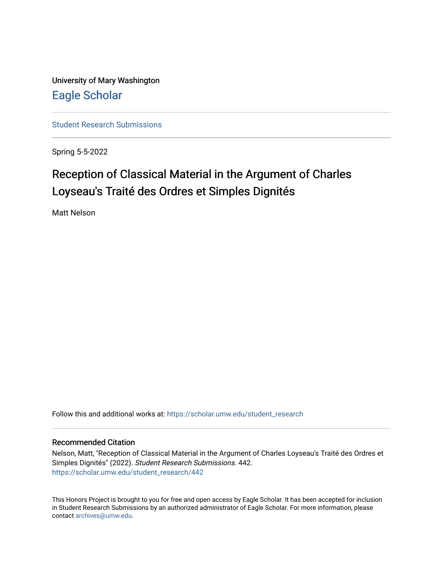University of Mary Washington [Eagle Scholar](https://scholar.umw.edu/) 

[Student Research Submissions](https://scholar.umw.edu/student_research) 

Spring 5-5-2022

# Reception of Classical Material in the Argument of Charles Loyseau's Traité des Ordres et Simples Dignités

Matt Nelson

Follow this and additional works at: [https://scholar.umw.edu/student\\_research](https://scholar.umw.edu/student_research?utm_source=scholar.umw.edu%2Fstudent_research%2F442&utm_medium=PDF&utm_campaign=PDFCoverPages)

# Recommended Citation

Nelson, Matt, "Reception of Classical Material in the Argument of Charles Loyseau's Traité des Ordres et Simples Dignités" (2022). Student Research Submissions. 442. [https://scholar.umw.edu/student\\_research/442](https://scholar.umw.edu/student_research/442?utm_source=scholar.umw.edu%2Fstudent_research%2F442&utm_medium=PDF&utm_campaign=PDFCoverPages)

This Honors Project is brought to you for free and open access by Eagle Scholar. It has been accepted for inclusion in Student Research Submissions by an authorized administrator of Eagle Scholar. For more information, please contact [archives@umw.edu](mailto:archives@umw.edu).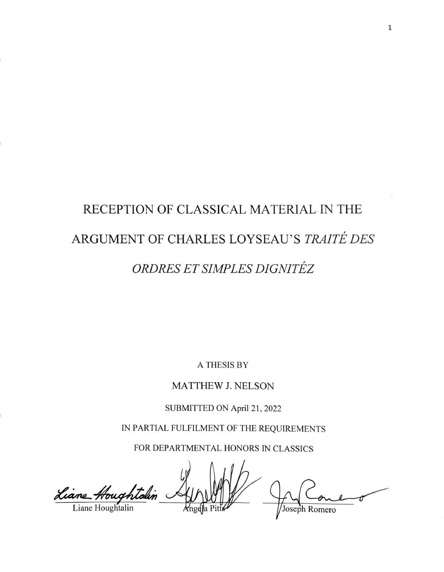# RECEPTION OF CLASSICAL MATERIAL IN THE ARGUMENT OF CHARLES LOYSEAU'S TRAITÉ DES ORDRES ET SIMPLES DIGNITÉZ

**A THESIS BY** 

MATTHEW J. NELSON

SUBMITTED ON April 21, 2022

IN PARTIAL FULFILMENT OF THE REQUIREMENTS

FOR DEPARTMENTAL HONORS IN CLASSICS

Liane Houghtalin Joseph Romero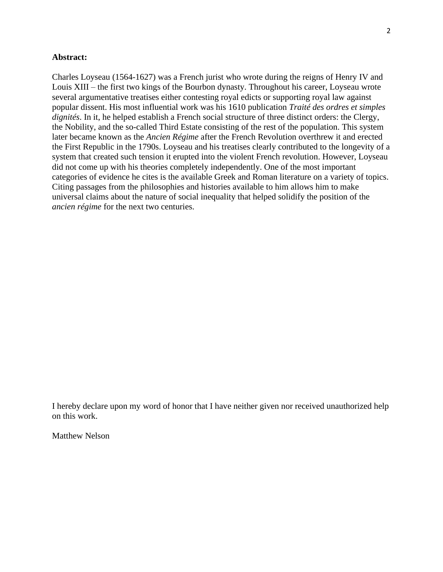# **Abstract:**

Charles Loyseau (1564-1627) was a French jurist who wrote during the reigns of Henry IV and Louis XIII – the first two kings of the Bourbon dynasty. Throughout his career, Loyseau wrote several argumentative treatises either contesting royal edicts or supporting royal law against popular dissent. His most influential work was his 1610 publication *Traité des ordres et simples dignités*. In it, he helped establish a French social structure of three distinct orders: the Clergy, the Nobility, and the so-called Third Estate consisting of the rest of the population. This system later became known as the *Ancien Régime* after the French Revolution overthrew it and erected the First Republic in the 1790s. Loyseau and his treatises clearly contributed to the longevity of a system that created such tension it erupted into the violent French revolution. However, Loyseau did not come up with his theories completely independently. One of the most important categories of evidence he cites is the available Greek and Roman literature on a variety of topics. Citing passages from the philosophies and histories available to him allows him to make universal claims about the nature of social inequality that helped solidify the position of the *ancien régime* for the next two centuries.

I hereby declare upon my word of honor that I have neither given nor received unauthorized help on this work.

Matthew Nelson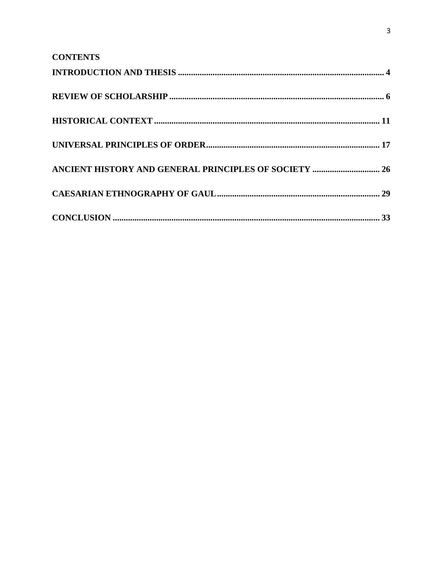| <b>CONTENTS</b>                                              |  |
|--------------------------------------------------------------|--|
|                                                              |  |
|                                                              |  |
|                                                              |  |
|                                                              |  |
| <b>ANCIENT HISTORY AND GENERAL PRINCIPLES OF SOCIETY  26</b> |  |
|                                                              |  |
|                                                              |  |

 $\overline{\mathbf{3}}$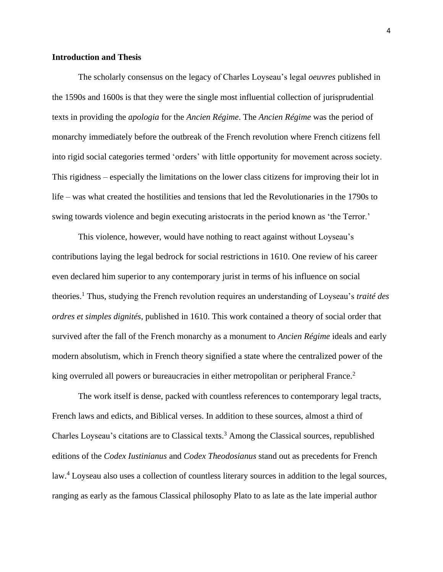# **Introduction and Thesis**

The scholarly consensus on the legacy of Charles Loyseau's legal *oeuvres* published in the 1590s and 1600s is that they were the single most influential collection of jurisprudential texts in providing the *apologia* for the *Ancien Régime*. The *Ancien Régime* was the period of monarchy immediately before the outbreak of the French revolution where French citizens fell into rigid social categories termed 'orders' with little opportunity for movement across society. This rigidness – especially the limitations on the lower class citizens for improving their lot in life – was what created the hostilities and tensions that led the Revolutionaries in the 1790s to swing towards violence and begin executing aristocrats in the period known as 'the Terror.'

This violence, however, would have nothing to react against without Loyseau's contributions laying the legal bedrock for social restrictions in 1610. One review of his career even declared him superior to any contemporary jurist in terms of his influence on social theories.<sup>1</sup> Thus, studying the French revolution requires an understanding of Loyseau's *traité des ordres et simples dignités*, published in 1610. This work contained a theory of social order that survived after the fall of the French monarchy as a monument to *Ancien Régime* ideals and early modern absolutism, which in French theory signified a state where the centralized power of the king overruled all powers or bureaucracies in either metropolitan or peripheral France.<sup>2</sup>

The work itself is dense, packed with countless references to contemporary legal tracts, French laws and edicts, and Biblical verses. In addition to these sources, almost a third of Charles Loyseau's citations are to Classical texts.<sup>3</sup> Among the Classical sources, republished editions of the *Codex Iustinianus* and *Codex Theodosianus* stand out as precedents for French law.<sup>4</sup> Loyseau also uses a collection of countless literary sources in addition to the legal sources, ranging as early as the famous Classical philosophy Plato to as late as the late imperial author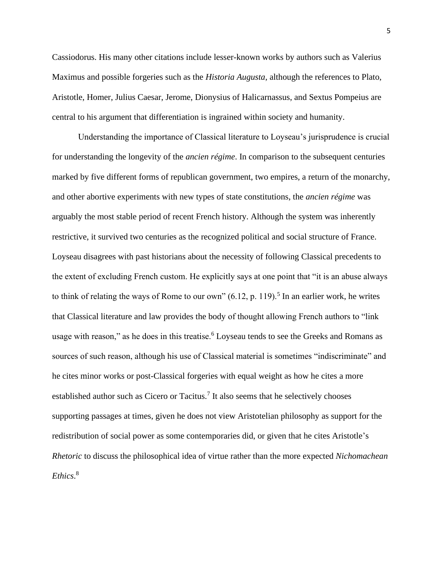Cassiodorus. His many other citations include lesser-known works by authors such as Valerius Maximus and possible forgeries such as the *Historia Augusta*, although the references to Plato, Aristotle, Homer, Julius Caesar, Jerome, Dionysius of Halicarnassus, and Sextus Pompeius are central to his argument that differentiation is ingrained within society and humanity.

Understanding the importance of Classical literature to Loyseau's jurisprudence is crucial for understanding the longevity of the *ancien régime*. In comparison to the subsequent centuries marked by five different forms of republican government, two empires, a return of the monarchy, and other abortive experiments with new types of state constitutions, the *ancien régime* was arguably the most stable period of recent French history. Although the system was inherently restrictive, it survived two centuries as the recognized political and social structure of France. Loyseau disagrees with past historians about the necessity of following Classical precedents to the extent of excluding French custom. He explicitly says at one point that "it is an abuse always to think of relating the ways of Rome to our own"  $(6.12, p. 119)$ .<sup>5</sup> In an earlier work, he writes that Classical literature and law provides the body of thought allowing French authors to "link usage with reason," as he does in this treatise.<sup>6</sup> Loyseau tends to see the Greeks and Romans as sources of such reason, although his use of Classical material is sometimes "indiscriminate" and he cites minor works or post-Classical forgeries with equal weight as how he cites a more established author such as Cicero or Tacitus.<sup>7</sup> It also seems that he selectively chooses supporting passages at times, given he does not view Aristotelian philosophy as support for the redistribution of social power as some contemporaries did, or given that he cites Aristotle's *Rhetoric* to discuss the philosophical idea of virtue rather than the more expected *Nichomachean Ethics*. 8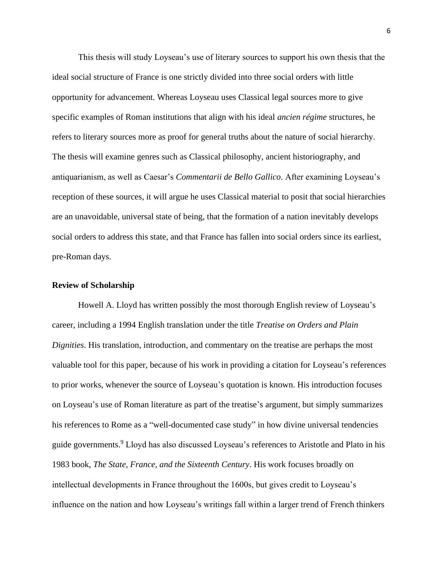This thesis will study Loyseau's use of literary sources to support his own thesis that the ideal social structure of France is one strictly divided into three social orders with little opportunity for advancement. Whereas Loyseau uses Classical legal sources more to give specific examples of Roman institutions that align with his ideal *ancien régime* structures, he refers to literary sources more as proof for general truths about the nature of social hierarchy. The thesis will examine genres such as Classical philosophy, ancient historiography, and antiquarianism, as well as Caesar's *Commentarii de Bello Gallico*. After examining Loyseau's reception of these sources, it will argue he uses Classical material to posit that social hierarchies are an unavoidable, universal state of being, that the formation of a nation inevitably develops social orders to address this state, and that France has fallen into social orders since its earliest, pre-Roman days.

#### **Review of Scholarship**

Howell A. Lloyd has written possibly the most thorough English review of Loyseau's career, including a 1994 English translation under the title *Treatise on Orders and Plain Dignities*. His translation, introduction, and commentary on the treatise are perhaps the most valuable tool for this paper, because of his work in providing a citation for Loyseau's references to prior works, whenever the source of Loyseau's quotation is known. His introduction focuses on Loyseau's use of Roman literature as part of the treatise's argument, but simply summarizes his references to Rome as a "well-documented case study" in how divine universal tendencies guide governments. <sup>9</sup> Lloyd has also discussed Loyseau's references to Aristotle and Plato in his 1983 book, *The State, France, and the Sixteenth Century*. His work focuses broadly on intellectual developments in France throughout the 1600s, but gives credit to Loyseau's influence on the nation and how Loyseau's writings fall within a larger trend of French thinkers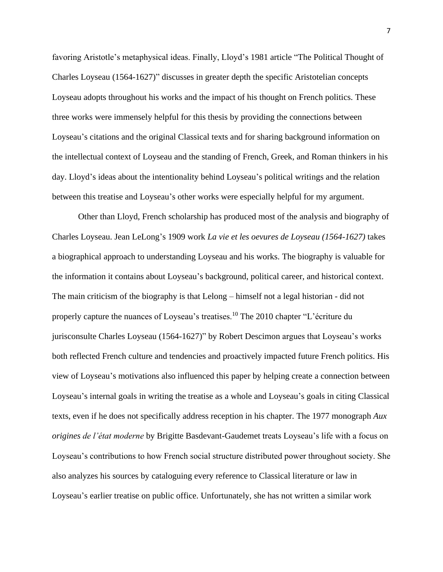favoring Aristotle's metaphysical ideas. Finally, Lloyd's 1981 article "The Political Thought of Charles Loyseau (1564-1627)" discusses in greater depth the specific Aristotelian concepts Loyseau adopts throughout his works and the impact of his thought on French politics. These three works were immensely helpful for this thesis by providing the connections between Loyseau's citations and the original Classical texts and for sharing background information on the intellectual context of Loyseau and the standing of French, Greek, and Roman thinkers in his day. Lloyd's ideas about the intentionality behind Loyseau's political writings and the relation between this treatise and Loyseau's other works were especially helpful for my argument.

Other than Lloyd, French scholarship has produced most of the analysis and biography of Charles Loyseau. Jean LeLong's 1909 work *La vie et les oevures de Loyseau (1564-1627)* takes a biographical approach to understanding Loyseau and his works. The biography is valuable for the information it contains about Loyseau's background, political career, and historical context. The main criticism of the biography is that Lelong – himself not a legal historian - did not properly capture the nuances of Loyseau's treatises.<sup>10</sup> The 2010 chapter "L'écriture du jurisconsulte Charles Loyseau (1564-1627)" by Robert Descimon argues that Loyseau's works both reflected French culture and tendencies and proactively impacted future French politics. His view of Loyseau's motivations also influenced this paper by helping create a connection between Loyseau's internal goals in writing the treatise as a whole and Loyseau's goals in citing Classical texts, even if he does not specifically address reception in his chapter. The 1977 monograph *Aux origines de l'état moderne* by Brigitte Basdevant-Gaudemet treats Loyseau's life with a focus on Loyseau's contributions to how French social structure distributed power throughout society. She also analyzes his sources by cataloguing every reference to Classical literature or law in Loyseau's earlier treatise on public office. Unfortunately, she has not written a similar work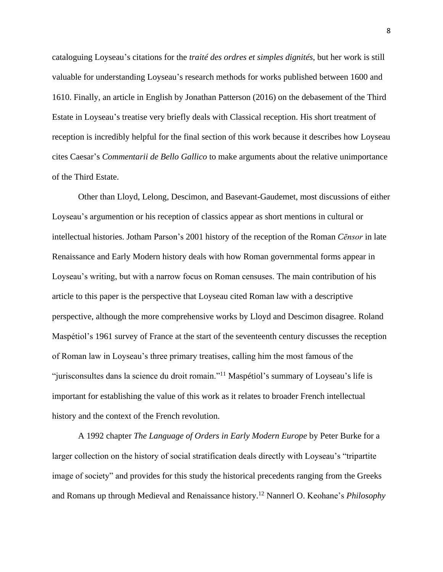cataloguing Loyseau's citations for the *traité des ordres et simples dignités*, but her work is still valuable for understanding Loyseau's research methods for works published between 1600 and 1610. Finally, an article in English by Jonathan Patterson (2016) on the debasement of the Third Estate in Loyseau's treatise very briefly deals with Classical reception. His short treatment of reception is incredibly helpful for the final section of this work because it describes how Loyseau cites Caesar's *Commentarii de Bello Gallico* to make arguments about the relative unimportance of the Third Estate.

Other than Lloyd, Lelong, Descimon, and Basevant-Gaudemet, most discussions of either Loyseau's argumention or his reception of classics appear as short mentions in cultural or intellectual histories. Jotham Parson's 2001 history of the reception of the Roman *Cēnsor* in late Renaissance and Early Modern history deals with how Roman governmental forms appear in Loyseau's writing, but with a narrow focus on Roman censuses. The main contribution of his article to this paper is the perspective that Loyseau cited Roman law with a descriptive perspective, although the more comprehensive works by Lloyd and Descimon disagree. Roland Maspétiol's 1961 survey of France at the start of the seventeenth century discusses the reception of Roman law in Loyseau's three primary treatises, calling him the most famous of the "jurisconsultes dans la science du droit romain."<sup>11</sup> Maspétiol's summary of Loyseau's life is important for establishing the value of this work as it relates to broader French intellectual history and the context of the French revolution.

A 1992 chapter *The Language of Orders in Early Modern Europe* by Peter Burke for a larger collection on the history of social stratification deals directly with Loyseau's "tripartite image of society" and provides for this study the historical precedents ranging from the Greeks and Romans up through Medieval and Renaissance history.<sup>12</sup> Nannerl O. Keohane's *Philosophy*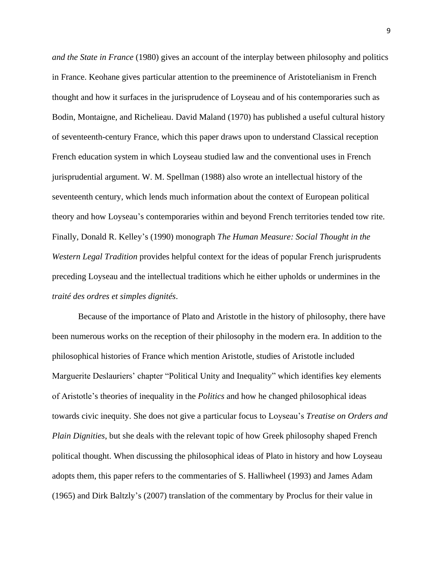*and the State in France* (1980) gives an account of the interplay between philosophy and politics in France. Keohane gives particular attention to the preeminence of Aristotelianism in French thought and how it surfaces in the jurisprudence of Loyseau and of his contemporaries such as Bodin, Montaigne, and Richelieau. David Maland (1970) has published a useful cultural history of seventeenth-century France, which this paper draws upon to understand Classical reception French education system in which Loyseau studied law and the conventional uses in French jurisprudential argument. W. M. Spellman (1988) also wrote an intellectual history of the seventeenth century, which lends much information about the context of European political theory and how Loyseau's contemporaries within and beyond French territories tended tow rite. Finally, Donald R. Kelley's (1990) monograph *The Human Measure: Social Thought in the Western Legal Tradition* provides helpful context for the ideas of popular French jurisprudents preceding Loyseau and the intellectual traditions which he either upholds or undermines in the *traité des ordres et simples dignités*.

Because of the importance of Plato and Aristotle in the history of philosophy, there have been numerous works on the reception of their philosophy in the modern era. In addition to the philosophical histories of France which mention Aristotle, studies of Aristotle included Marguerite Deslauriers' chapter "Political Unity and Inequality" which identifies key elements of Aristotle's theories of inequality in the *Politics* and how he changed philosophical ideas towards civic inequity. She does not give a particular focus to Loyseau's *Treatise on Orders and Plain Dignities*, but she deals with the relevant topic of how Greek philosophy shaped French political thought. When discussing the philosophical ideas of Plato in history and how Loyseau adopts them, this paper refers to the commentaries of S. Halliwheel (1993) and James Adam (1965) and Dirk Baltzly's (2007) translation of the commentary by Proclus for their value in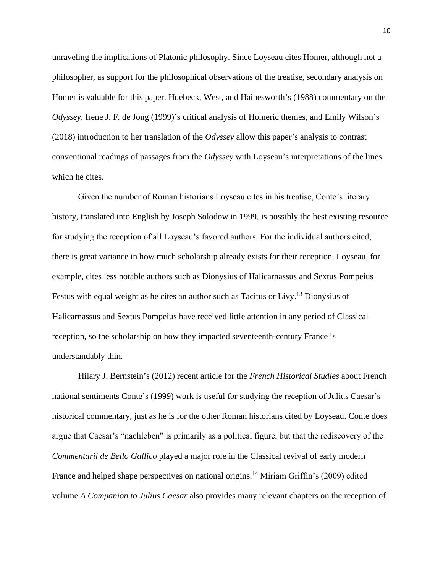unraveling the implications of Platonic philosophy. Since Loyseau cites Homer, although not a philosopher, as support for the philosophical observations of the treatise, secondary analysis on Homer is valuable for this paper. Huebeck, West, and Hainesworth's (1988) commentary on the *Odyssey*, Irene J. F. de Jong (1999)'s critical analysis of Homeric themes, and Emily Wilson's (2018) introduction to her translation of the *Odyssey* allow this paper's analysis to contrast conventional readings of passages from the *Odyssey* with Loyseau's interpretations of the lines which he cites.

Given the number of Roman historians Loyseau cites in his treatise, Conte's literary history, translated into English by Joseph Solodow in 1999, is possibly the best existing resource for studying the reception of all Loyseau's favored authors. For the individual authors cited, there is great variance in how much scholarship already exists for their reception. Loyseau, for example, cites less notable authors such as Dionysius of Halicarnassus and Sextus Pompeius Festus with equal weight as he cites an author such as Tacitus or Livy.<sup>13</sup> Dionysius of Halicarnassus and Sextus Pompeius have received little attention in any period of Classical reception, so the scholarship on how they impacted seventeenth-century France is understandably thin.

Hilary J. Bernstein's (2012) recent article for the *French Historical Studies* about French national sentiments Conte's (1999) work is useful for studying the reception of Julius Caesar's historical commentary, just as he is for the other Roman historians cited by Loyseau. Conte does argue that Caesar's "nachleben" is primarily as a political figure, but that the rediscovery of the *Commentarii de Bello Gallico* played a major role in the Classical revival of early modern France and helped shape perspectives on national origins.<sup>14</sup> Miriam Griffin's (2009) edited volume *A Companion to Julius Caesar* also provides many relevant chapters on the reception of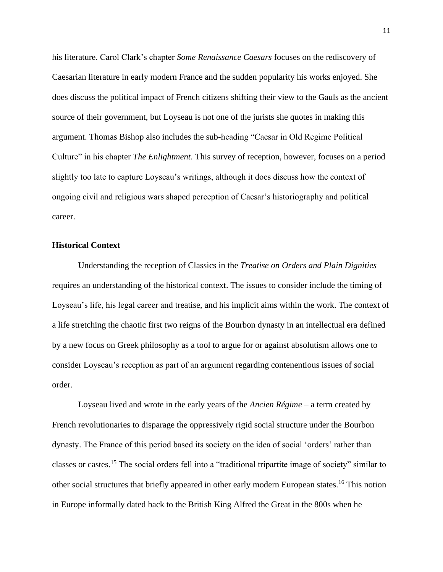his literature. Carol Clark's chapter *Some Renaissance Caesars* focuses on the rediscovery of Caesarian literature in early modern France and the sudden popularity his works enjoyed. She does discuss the political impact of French citizens shifting their view to the Gauls as the ancient source of their government, but Loyseau is not one of the jurists she quotes in making this argument. Thomas Bishop also includes the sub-heading "Caesar in Old Regime Political Culture" in his chapter *The Enlightment*. This survey of reception, however, focuses on a period slightly too late to capture Loyseau's writings, although it does discuss how the context of ongoing civil and religious wars shaped perception of Caesar's historiography and political career.

# **Historical Context**

Understanding the reception of Classics in the *Treatise on Orders and Plain Dignities* requires an understanding of the historical context. The issues to consider include the timing of Loyseau's life, his legal career and treatise, and his implicit aims within the work. The context of a life stretching the chaotic first two reigns of the Bourbon dynasty in an intellectual era defined by a new focus on Greek philosophy as a tool to argue for or against absolutism allows one to consider Loyseau's reception as part of an argument regarding contenentious issues of social order.

Loyseau lived and wrote in the early years of the *Ancien Régime* – a term created by French revolutionaries to disparage the oppressively rigid social structure under the Bourbon dynasty. The France of this period based its society on the idea of social 'orders' rather than classes or castes.<sup>15</sup> The social orders fell into a "traditional tripartite image of society" similar to other social structures that briefly appeared in other early modern European states.<sup>16</sup> This notion in Europe informally dated back to the British King Alfred the Great in the 800s when he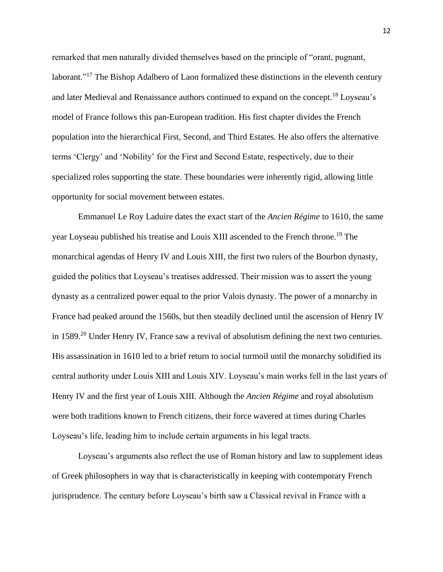remarked that men naturally divided themselves based on the principle of "orant, pugnant, laborant."<sup>17</sup> The Bishop Adalbero of Laon formalized these distinctions in the eleventh century and later Medieval and Renaissance authors continued to expand on the concept.<sup>18</sup> Loyseau's model of France follows this pan-European tradition. His first chapter divides the French population into the hierarchical First, Second, and Third Estates. He also offers the alternative terms 'Clergy' and 'Nobility' for the First and Second Estate, respectively, due to their specialized roles supporting the state. These boundaries were inherently rigid, allowing little opportunity for social movement between estates.

Emmanuel Le Roy Laduire dates the exact start of the *Ancien Régime* to 1610, the same year Loyseau published his treatise and Louis XIII ascended to the French throne.<sup>19</sup> The monarchical agendas of Henry IV and Louis XIII, the first two rulers of the Bourbon dynasty, guided the politics that Loyseau's treatises addressed. Their mission was to assert the young dynasty as a centralized power equal to the prior Valois dynasty. The power of a monarchy in France had peaked around the 1560s, but then steadily declined until the ascension of Henry IV in 1589.<sup>20</sup> Under Henry IV, France saw a revival of absolutism defining the next two centuries. His assassination in 1610 led to a brief return to social turmoil until the monarchy solidified its central authority under Louis XIII and Louis XIV. Loyseau's main works fell in the last years of Henry IV and the first year of Louis XIII. Although the *Ancien Régime* and royal absolutism were both traditions known to French citizens, their force wavered at times during Charles Loyseau's life, leading him to include certain arguments in his legal tracts.

Loyseau's arguments also reflect the use of Roman history and law to supplement ideas of Greek philosophers in way that is characteristically in keeping with contemporary French jurisprudence. The century before Loyseau's birth saw a Classical revival in France with a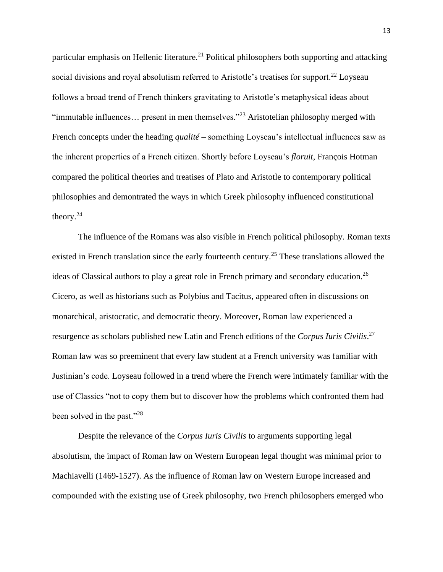particular emphasis on Hellenic literature.<sup>21</sup> Political philosophers both supporting and attacking social divisions and royal absolutism referred to Aristotle's treatises for support.<sup>22</sup> Loyseau follows a broad trend of French thinkers gravitating to Aristotle's metaphysical ideas about "immutable influences… present in men themselves."<sup>23</sup> Aristotelian philosophy merged with French concepts under the heading *qualité* – something Loyseau's intellectual influences saw as the inherent properties of a French citizen. Shortly before Loyseau's *floruit*, François Hotman compared the political theories and treatises of Plato and Aristotle to contemporary political philosophies and demontrated the ways in which Greek philosophy influenced constitutional theory. $24$ 

The influence of the Romans was also visible in French political philosophy. Roman texts existed in French translation since the early fourteenth century.<sup>25</sup> These translations allowed the ideas of Classical authors to play a great role in French primary and secondary education.<sup>26</sup> Cicero, as well as historians such as Polybius and Tacitus, appeared often in discussions on monarchical, aristocratic, and democratic theory. Moreover, Roman law experienced a resurgence as scholars published new Latin and French editions of the *Corpus Iuris Civilis*. 27 Roman law was so preeminent that every law student at a French university was familiar with Justinian's code. Loyseau followed in a trend where the French were intimately familiar with the use of Classics "not to copy them but to discover how the problems which confronted them had been solved in the past."<sup>28</sup>

Despite the relevance of the *Corpus Iuris Civilis* to arguments supporting legal absolutism, the impact of Roman law on Western European legal thought was minimal prior to Machiavelli (1469-1527). As the influence of Roman law on Western Europe increased and compounded with the existing use of Greek philosophy, two French philosophers emerged who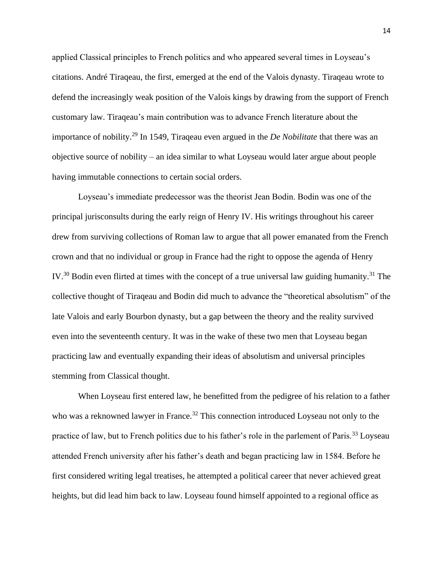applied Classical principles to French politics and who appeared several times in Loyseau's citations. André Tiraqeau, the first, emerged at the end of the Valois dynasty. Tiraqeau wrote to defend the increasingly weak position of the Valois kings by drawing from the support of French customary law. Tiraqeau's main contribution was to advance French literature about the importance of nobility.<sup>29</sup> In 1549, Tiraqeau even argued in the *De Nobilitate* that there was an objective source of nobility – an idea similar to what Loyseau would later argue about people having immutable connections to certain social orders.

Loyseau's immediate predecessor was the theorist Jean Bodin. Bodin was one of the principal jurisconsults during the early reign of Henry IV. His writings throughout his career drew from surviving collections of Roman law to argue that all power emanated from the French crown and that no individual or group in France had the right to oppose the agenda of Henry IV.<sup>30</sup> Bodin even flirted at times with the concept of a true universal law guiding humanity.<sup>31</sup> The collective thought of Tiraqeau and Bodin did much to advance the "theoretical absolutism" of the late Valois and early Bourbon dynasty, but a gap between the theory and the reality survived even into the seventeenth century. It was in the wake of these two men that Loyseau began practicing law and eventually expanding their ideas of absolutism and universal principles stemming from Classical thought.

When Loyseau first entered law, he benefitted from the pedigree of his relation to a father who was a reknowned lawyer in France.<sup>32</sup> This connection introduced Loyseau not only to the practice of law, but to French politics due to his father's role in the parlement of Paris.<sup>33</sup> Loyseau attended French university after his father's death and began practicing law in 1584. Before he first considered writing legal treatises, he attempted a political career that never achieved great heights, but did lead him back to law. Loyseau found himself appointed to a regional office as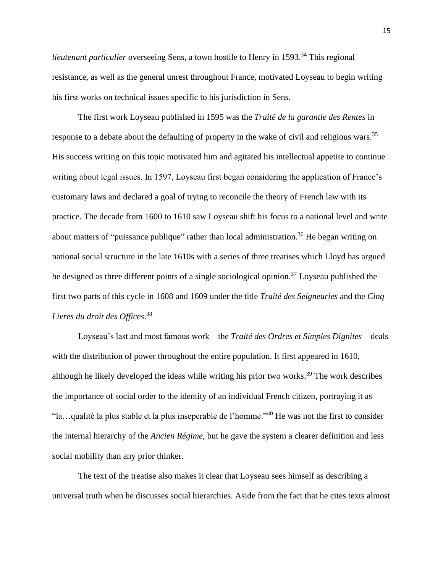*lieutenant particulier* overseeing Sens, a town hostile to Henry in 1593.<sup>34</sup> This regional resistance, as well as the general unrest throughout France, motivated Loyseau to begin writing his first works on technical issues specific to his jurisdiction in Sens.

The first work Loyseau published in 1595 was the *Traité de la garantie des Rentes* in response to a debate about the defaulting of property in the wake of civil and religious wars.<sup>35</sup> His success writing on this topic motivated him and agitated his intellectual appetite to continue writing about legal issues. In 1597, Loyseau first began considering the application of France's customary laws and declared a goal of trying to reconcile the theory of French law with its practice. The decade from 1600 to 1610 saw Loyseau shift his focus to a national level and write about matters of "puissance publique" rather than local administration.<sup>36</sup> He began writing on national social structure in the late 1610s with a series of three treatises which Lloyd has argued he designed as three different points of a single sociological opinion.<sup>37</sup> Loyseau published the first two parts of this cycle in 1608 and 1609 under the title *Traité des Seigneuries* and the *Cinq Livres du droit des Offices*. 38

Loyseau's last and most famous work – the *Traité des Ordres et Simples Dignites* – deals with the distribution of power throughout the entire population. It first appeared in 1610, although he likely developed the ideas while writing his prior two works.<sup>39</sup> The work describes the importance of social order to the identity of an individual French citizen, portraying it as "la…qualité la plus stable et la plus inseperable de l'homme."<sup>40</sup> He was not the first to consider the internal hierarchy of the *Ancien Régime*, but he gave the system a clearer definition and less social mobility than any prior thinker.

The text of the treatise also makes it clear that Loyseau sees himself as describing a universal truth when he discusses social hierarchies. Aside from the fact that he cites texts almost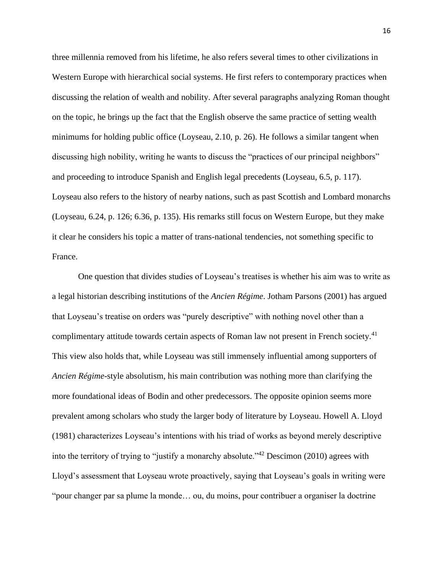three millennia removed from his lifetime, he also refers several times to other civilizations in Western Europe with hierarchical social systems. He first refers to contemporary practices when discussing the relation of wealth and nobility. After several paragraphs analyzing Roman thought on the topic, he brings up the fact that the English observe the same practice of setting wealth minimums for holding public office (Loyseau, 2.10, p. 26). He follows a similar tangent when discussing high nobility, writing he wants to discuss the "practices of our principal neighbors" and proceeding to introduce Spanish and English legal precedents (Loyseau, 6.5, p. 117). Loyseau also refers to the history of nearby nations, such as past Scottish and Lombard monarchs (Loyseau, 6.24, p. 126; 6.36, p. 135). His remarks still focus on Western Europe, but they make it clear he considers his topic a matter of trans-national tendencies, not something specific to France.

One question that divides studies of Loyseau's treatises is whether his aim was to write as a legal historian describing institutions of the *Ancien Régime*. Jotham Parsons (2001) has argued that Loyseau's treatise on orders was "purely descriptive" with nothing novel other than a complimentary attitude towards certain aspects of Roman law not present in French society.<sup>41</sup> This view also holds that, while Loyseau was still immensely influential among supporters of *Ancien Régime*-style absolutism, his main contribution was nothing more than clarifying the more foundational ideas of Bodin and other predecessors. The opposite opinion seems more prevalent among scholars who study the larger body of literature by Loyseau. Howell A. Lloyd (1981) characterizes Loyseau's intentions with his triad of works as beyond merely descriptive into the territory of trying to "justify a monarchy absolute."<sup>42</sup> Descimon (2010) agrees with Lloyd's assessment that Loyseau wrote proactively, saying that Loyseau's goals in writing were "pour changer par sa plume la monde… ou, du moins, pour contribuer a organiser la doctrine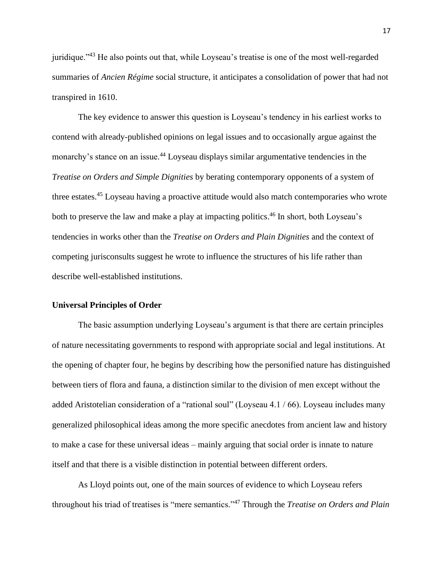juridique."<sup>43</sup> He also points out that, while Loyseau's treatise is one of the most well-regarded summaries of *Ancien Régime* social structure, it anticipates a consolidation of power that had not transpired in 1610.

The key evidence to answer this question is Loyseau's tendency in his earliest works to contend with already-published opinions on legal issues and to occasionally argue against the monarchy's stance on an issue.<sup>44</sup> Loyseau displays similar argumentative tendencies in the *Treatise on Orders and Simple Dignities* by berating contemporary opponents of a system of three estates.<sup>45</sup> Loyseau having a proactive attitude would also match contemporaries who wrote both to preserve the law and make a play at impacting politics.<sup>46</sup> In short, both Loyseau's tendencies in works other than the *Treatise on Orders and Plain Dignities* and the context of competing jurisconsults suggest he wrote to influence the structures of his life rather than describe well-established institutions.

#### **Universal Principles of Order**

The basic assumption underlying Loyseau's argument is that there are certain principles of nature necessitating governments to respond with appropriate social and legal institutions. At the opening of chapter four, he begins by describing how the personified nature has distinguished between tiers of flora and fauna, a distinction similar to the division of men except without the added Aristotelian consideration of a "rational soul" (Loyseau 4.1 / 66). Loyseau includes many generalized philosophical ideas among the more specific anecdotes from ancient law and history to make a case for these universal ideas – mainly arguing that social order is innate to nature itself and that there is a visible distinction in potential between different orders.

As Lloyd points out, one of the main sources of evidence to which Loyseau refers throughout his triad of treatises is "mere semantics."<sup>47</sup> Through the *Treatise on Orders and Plain* 

17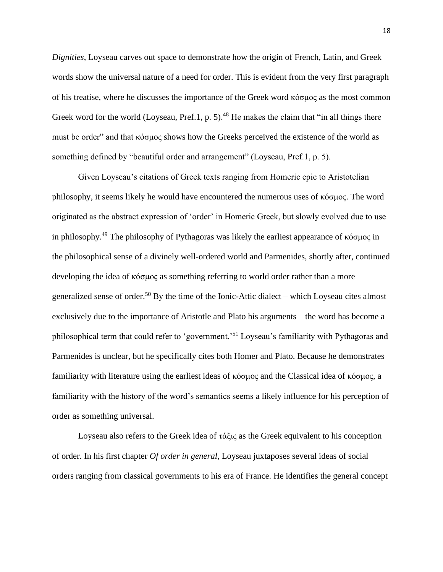*Dignities*, Loyseau carves out space to demonstrate how the origin of French, Latin, and Greek words show the universal nature of a need for order. This is evident from the very first paragraph of his treatise, where he discusses the importance of the Greek word κόσμος as the most common Greek word for the world (Loyseau, Pref.1, p. 5).<sup>48</sup> He makes the claim that "in all things there must be order" and that κόσμος shows how the Greeks perceived the existence of the world as something defined by "beautiful order and arrangement" (Loyseau, Pref.1, p. 5).

Given Loyseau's citations of Greek texts ranging from Homeric epic to Aristotelian philosophy, it seems likely he would have encountered the numerous uses of κόσμος. The word originated as the abstract expression of 'order' in Homeric Greek, but slowly evolved due to use in philosophy.<sup>49</sup> The philosophy of Pythagoras was likely the earliest appearance of κόσμος in the philosophical sense of a divinely well-ordered world and Parmenides, shortly after, continued developing the idea of κόσμος as something referring to world order rather than a more generalized sense of order.<sup>50</sup> By the time of the Ionic-Attic dialect – which Loyseau cites almost exclusively due to the importance of Aristotle and Plato his arguments – the word has become a philosophical term that could refer to 'government.'<sup>51</sup> Loyseau's familiarity with Pythagoras and Parmenides is unclear, but he specifically cites both Homer and Plato. Because he demonstrates familiarity with literature using the earliest ideas of κόσμος and the Classical idea of κόσμος, a familiarity with the history of the word's semantics seems a likely influence for his perception of order as something universal.

Loyseau also refers to the Greek idea of τάξις as the Greek equivalent to his conception of order. In his first chapter *Of order in general*, Loyseau juxtaposes several ideas of social orders ranging from classical governments to his era of France. He identifies the general concept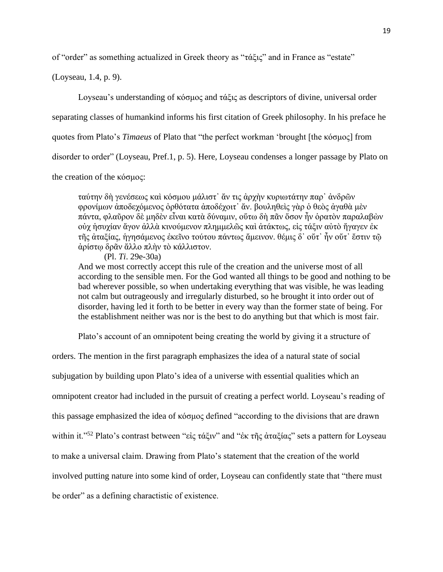of "order" as something actualized in Greek theory as "τάξις" and in France as "estate"

(Loyseau, 1.4, p. 9).

Loyseau's understanding of κόσμος and τάξις as descriptors of divine, universal order

separating classes of humankind informs his first citation of Greek philosophy. In his preface he

quotes from Plato's *Timaeus* of Plato that "the perfect workman 'brought [the κόσμος] from

disorder to order" (Loyseau, Pref.1, p. 5). Here, Loyseau condenses a longer passage by Plato on

the creation of the κόσμος:

ταύτην δὴ γενέσεως καὶ κόσμου μάλιστ᾽ ἄν τις ἀρχὴν κυριωτάτην παρ᾽ ἀνδρῶν φρονίμων ἀποδεχόμενος ὀρθότατα ἀποδέχοιτ᾽ ἄν. βουληθεὶς γὰρ ὁ θεὸς ἀγαθὰ μὲν πάντα, φλαῦρον δὲ μηδὲν εἶναι κατὰ δύναμιν, οὕτω δὴ πᾶν ὅσον ἦν ὁρατὸν παραλαβὼν οὐχ ἡσυχίαν ἄγον ἀλλὰ κινούμενον πλημμελῶς καὶ ἀτάκτως, εἰς τάξιν αὐτὸ ἤγαγεν ἐκ τῆς ἀταξίας, ἡγησάμενος ἐκεῖνο τούτου πάντως ἄμεινον. θέμις δ᾽ οὔτ᾽ ἦν οὔτ᾽ ἔστιν τῷ ἀρίστῳ δρᾶν ἄλλο πλὴν τὸ κάλλιστον.

(Pl. *Ti*. 29e-30a) And we most correctly accept this rule of the creation and the universe most of all according to the sensible men. For the God wanted all things to be good and nothing to be bad wherever possible, so when undertaking everything that was visible, he was leading not calm but outrageously and irregularly disturbed, so he brought it into order out of disorder, having led it forth to be better in every way than the former state of being. For the establishment neither was nor is the best to do anything but that which is most fair.

Plato's account of an omnipotent being creating the world by giving it a structure of

orders. The mention in the first paragraph emphasizes the idea of a natural state of social subjugation by building upon Plato's idea of a universe with essential qualities which an omnipotent creator had included in the pursuit of creating a perfect world. Loyseau's reading of this passage emphasized the idea of κόσμος defined "according to the divisions that are drawn within it."<sup>52</sup> Plato's contrast between "εἰς τάξιν" and "ἐκ τῆς ἀταξίας" sets a pattern for Loyseau to make a universal claim. Drawing from Plato's statement that the creation of the world involved putting nature into some kind of order, Loyseau can confidently state that "there must be order" as a defining charactistic of existence.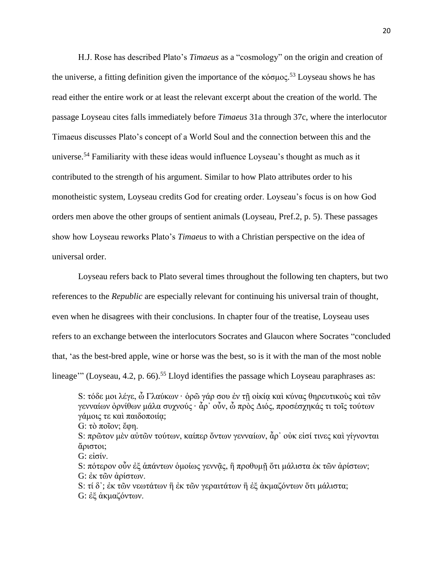H.J. Rose has described Plato's *Timaeus* as a "cosmology" on the origin and creation of the universe, a fitting definition given the importance of the κόσμος.<sup>53</sup> Loyseau shows he has read either the entire work or at least the relevant excerpt about the creation of the world. The passage Loyseau cites falls immediately before *Timaeus* 31a through 37c, where the interlocutor Timaeus discusses Plato's concept of a World Soul and the connection between this and the universe.<sup>54</sup> Familiarity with these ideas would influence Loyseau's thought as much as it contributed to the strength of his argument. Similar to how Plato attributes order to his monotheistic system, Loyseau credits God for creating order. Loyseau's focus is on how God orders men above the other groups of sentient animals (Loyseau, Pref.2, p. 5). These passages show how Loyseau reworks Plato's *Timaeus* to with a Christian perspective on the idea of universal order.

Loyseau refers back to Plato several times throughout the following ten chapters, but two references to the *Republic* are especially relevant for continuing his universal train of thought, even when he disagrees with their conclusions. In chapter four of the treatise, Loyseau uses refers to an exchange between the interlocutors Socrates and Glaucon where Socrates "concluded that, 'as the best-bred apple, wine or horse was the best, so is it with the man of the most noble lineage'" (Loyseau, 4.2, p. 66).<sup>55</sup> Lloyd identifies the passage which Loyseau paraphrases as:

G: εἰσίν.

S: πότερον οὖν ἐξ ἀπάντων ὁμοίως γεννᾶς, ἢ προθυμῆ ὅτι μάλιστα ἐκ τῶν ἀρίστων; G: ἐκ τῶν ἀρίστων.

S: τί δ'; ἐκ τῶν νεωτάτων ἢ ἐκ τῶν γεραιτάτων ἢ ἐξ ἀκμαζόντων ὅτι μάλιστα; G: ἐξ ἀκμαζόντων.

S: τόδε μοι λέγε, ὦ Γλαύκων · ὁρῶ γάρ σου ἐν τῇ οἰκίῳ καὶ κύνας θηρευτικοὺς καὶ τῶν γενναίων ὀρνίθων μάλα συχνούς · ἆρ᾽ οὖν, ὦ πρὸς Διός, προσέσχηκάς τι τοῖς τούτων γάμοις τε και παιδοποιία; G: τὸ ποῖον; ἔφη.

S: πρῶτον μὲν αὐτῶν τούτων, καίπερ ὄντων γενναίων, ἆρ᾽ οὐκ εἰσί τινες καὶ γίγνονται ἄριστοι;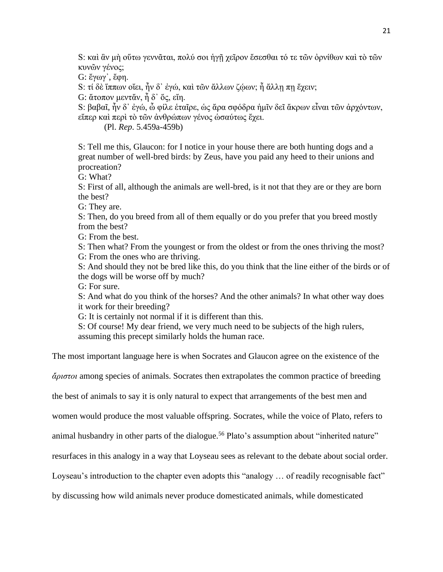S: καὶ ἂν μὴ οὕτω γεννᾶται, πολύ σοι ἡγῇ χεῖρον ἔσεσθαι τό τε τῶν ὀρνίθων καὶ τὸ τῶν κυνῶν γένος;

G: ἔγωγ᾽, ἔφη.

S: τί δὲ ἵππων οἴει, ἦν δ᾽ ἐγώ, καὶ τῶν ἄλλων ζώων; ἦ ἄλλῃ πῃ ἔχειν;

G: ἄτοπον μεντἄν, ἦ δ' ὅς, εἴη.

S: βαβαῖ, ἦν δ᾽ ἐγώ, ὦ φίλε ἑταῖρε, ὡς ἄρα σφόδρα ἡμῖν δεῖ ἄκρων εἶναι τῶν ἀρχόντων, εἴπερ καὶ περὶ τὸ τῶν ἀνθρώπων γένος ὡσαύτως ἔχει.

(Pl. *Rep*. 5.459a-459b)

S: Tell me this, Glaucon: for I notice in your house there are both hunting dogs and a great number of well-bred birds: by Zeus, have you paid any heed to their unions and procreation?

G: What?

S: First of all, although the animals are well-bred, is it not that they are or they are born the best?

G: They are.

S: Then, do you breed from all of them equally or do you prefer that you breed mostly from the best?

G: From the best.

S: Then what? From the youngest or from the oldest or from the ones thriving the most? G: From the ones who are thriving.

S: And should they not be bred like this, do you think that the line either of the birds or of the dogs will be worse off by much?

G: For sure.

S: And what do you think of the horses? And the other animals? In what other way does it work for their breeding?

G: It is certainly not normal if it is different than this.

S: Of course! My dear friend, we very much need to be subjects of the high rulers, assuming this precept similarly holds the human race.

The most important language here is when Socrates and Glaucon agree on the existence of the

*ἄριστοι* among species of animals. Socrates then extrapolates the common practice of breeding

the best of animals to say it is only natural to expect that arrangements of the best men and

women would produce the most valuable offspring. Socrates, while the voice of Plato, refers to

animal husbandry in other parts of the dialogue.<sup>56</sup> Plato's assumption about "inherited nature"

resurfaces in this analogy in a way that Loyseau sees as relevant to the debate about social order.

Loyseau's introduction to the chapter even adopts this "analogy ... of readily recognisable fact"

by discussing how wild animals never produce domesticated animals, while domesticated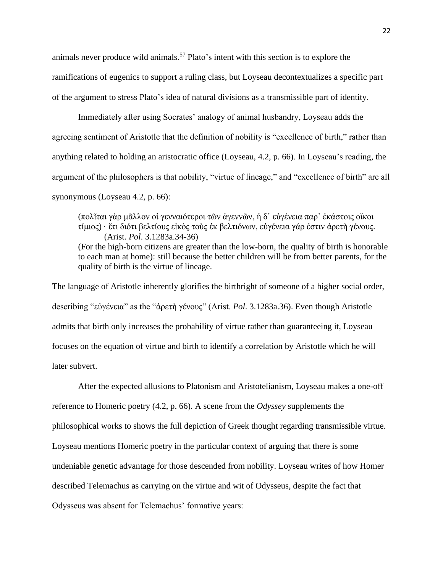animals never produce wild animals.<sup>57</sup> Plato's intent with this section is to explore the ramifications of eugenics to support a ruling class, but Loyseau decontextualizes a specific part of the argument to stress Plato's idea of natural divisions as a transmissible part of identity.

Immediately after using Socrates' analogy of animal husbandry, Loyseau adds the agreeing sentiment of Aristotle that the definition of nobility is "excellence of birth," rather than anything related to holding an aristocratic office (Loyseau, 4.2, p. 66). In Loyseau's reading, the argument of the philosophers is that nobility, "virtue of lineage," and "excellence of birth" are all synonymous (Loyseau 4.2, p. 66):

(πολῖται γὰρ μᾶλλον οἱ γενναιότεροι τῶν ἀγεννῶν, ἡ δ᾽ εὐγένεια παρ᾽ ἑκάστοις οἴκοι τίμιος) · ἔτι διότι βελτίους εἰκὸς τοὺς ἐκ βελτιόνων, εὐγένεια γάρ ἐστιν ἀρετὴ γένους. (Arist. *Pol*. 3.1283a.34-36) (For the high-born citizens are greater than the low-born, the quality of birth is honorable to each man at home): still because the better children will be from better parents, for the quality of birth is the virtue of lineage.

The language of Aristotle inherently glorifies the birthright of someone of a higher social order, describing "εὐγένεια" as the "ἀρετὴ γένους" (Arist. *Pol*. 3.1283a.36). Even though Aristotle admits that birth only increases the probability of virtue rather than guaranteeing it, Loyseau focuses on the equation of virtue and birth to identify a correlation by Aristotle which he will later subvert.

After the expected allusions to Platonism and Aristotelianism, Loyseau makes a one-off reference to Homeric poetry (4.2, p. 66). A scene from the *Odyssey* supplements the philosophical works to shows the full depiction of Greek thought regarding transmissible virtue. Loyseau mentions Homeric poetry in the particular context of arguing that there is some undeniable genetic advantage for those descended from nobility. Loyseau writes of how Homer described Telemachus as carrying on the virtue and wit of Odysseus, despite the fact that Odysseus was absent for Telemachus' formative years: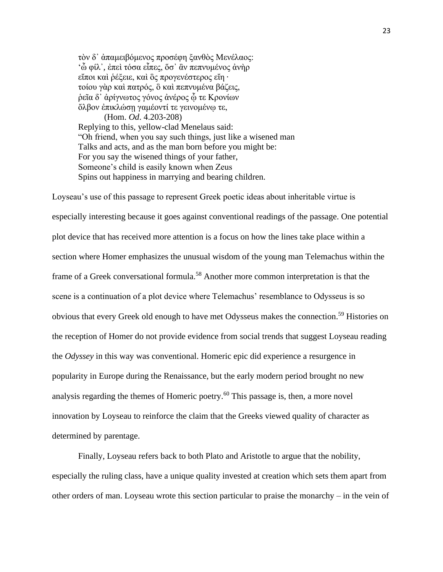τὸν δ᾽ ἀπαμειβόμενος προσέφη ξανθὸς Μενέλαος: 'ὦ φίλ᾽, ἐπεὶ τόσα εἶπες, ὅσ᾽ ἂν πεπνυμένος ἀνὴρ εἴποι καὶ ῥέξειε, καὶ ὃς προγενέστερος εἴη · τοίου γὰρ καὶ πατρός, ὃ καὶ πεπνυμένα βάζεις, ῥεῖα δ᾽ ἀρίγνωτος γόνος ἀνέρος ᾧ τε Κρονίων ὄλβον ἐπικλώσῃ γαμέοντί τε γεινομένῳ τε, (Hom. *Od*. 4.203-208) Replying to this, yellow-clad Menelaus said: "Oh friend, when you say such things, just like a wisened man Talks and acts, and as the man born before you might be: For you say the wisened things of your father, Someone's child is easily known when Zeus Spins out happiness in marrying and bearing children.

Loyseau's use of this passage to represent Greek poetic ideas about inheritable virtue is especially interesting because it goes against conventional readings of the passage. One potential plot device that has received more attention is a focus on how the lines take place within a section where Homer emphasizes the unusual wisdom of the young man Telemachus within the frame of a Greek conversational formula.<sup>58</sup> Another more common interpretation is that the scene is a continuation of a plot device where Telemachus' resemblance to Odysseus is so obvious that every Greek old enough to have met Odysseus makes the connection.<sup>59</sup> Histories on the reception of Homer do not provide evidence from social trends that suggest Loyseau reading the *Odyssey* in this way was conventional. Homeric epic did experience a resurgence in popularity in Europe during the Renaissance, but the early modern period brought no new analysis regarding the themes of Homeric poetry. <sup>60</sup> This passage is, then, a more novel innovation by Loyseau to reinforce the claim that the Greeks viewed quality of character as determined by parentage.

Finally, Loyseau refers back to both Plato and Aristotle to argue that the nobility, especially the ruling class, have a unique quality invested at creation which sets them apart from other orders of man. Loyseau wrote this section particular to praise the monarchy – in the vein of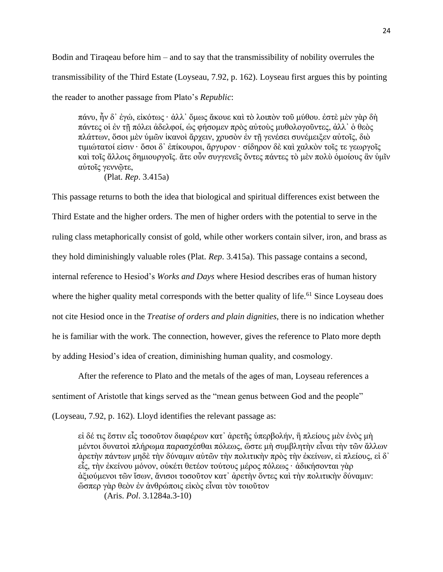Bodin and Tiraqeau before him – and to say that the transmissibility of nobility overrules the transmissibility of the Third Estate (Loyseau, 7.92, p. 162). Loyseau first argues this by pointing the reader to another passage from Plato's *Republic*:

πάνυ, ἦν δ᾽ ἐγώ, εἰκότως · ἀλλ᾽ ὅμως ἄκουε καὶ τὸ λοιπὸν τοῦ μύθου. ἐστὲ μὲν γὰρ δὴ πάντες οἱ ἐν τῇ πόλει ἀδελφοί, ὡς φήσομεν πρὸς αὐτοὺς μυθολογοῦντες, ἀλλ᾽ ὁ θεὸς πλάττων, ὅσοι μὲν ὑμῶν ἱκανοὶ ἄρχειν, χρυσὸν ἐν τῇ γενέσει συνέμειξεν αὐτοῖς, διὸ τιμιώτατοί εἰσιν · ὅσοι δ᾽ ἐπίκουροι, ἄργυρον · σίδηρον δὲ καὶ χαλκὸν τοῖς τε γεωργοῖς καὶ τοῖς ἄλλοις δημιουργοῖς. ἅτε οὖν συγγενεῖς ὄντες πάντες τὸ μὲν πολὺ ὁμοίους ἂν ὑμῖν αὐτοῖς γεννῷτε,

(Plat. *Rep*. 3.415a)

This passage returns to both the idea that biological and spiritual differences exist between the Third Estate and the higher orders. The men of higher orders with the potential to serve in the ruling class metaphorically consist of gold, while other workers contain silver, iron, and brass as they hold diminishingly valuable roles (Plat. *Rep*. 3.415a). This passage contains a second, internal reference to Hesiod's *Works and Days* where Hesiod describes eras of human history where the higher quality metal corresponds with the better quality of life.<sup>61</sup> Since Loyseau does not cite Hesiod once in the *Treatise of orders and plain dignities*, there is no indication whether he is familiar with the work. The connection, however, gives the reference to Plato more depth by adding Hesiod's idea of creation, diminishing human quality, and cosmology.

After the reference to Plato and the metals of the ages of man, Loyseau references a sentiment of Aristotle that kings served as the "mean genus between God and the people" (Loyseau, 7.92, p. 162). Lloyd identifies the relevant passage as:

εἰ δέ τις ἔστιν εἷς τοσοῦτον διαφέρων κατ᾽ ἀρετῆς ὑπερβολήν, ἢ πλείους μὲν ἑνὸς μὴ μέντοι δυνατοὶ πλήρωμα παρασχέσθαι πόλεως, ὥστε μὴ συμβλητὴν εἶναι τὴν τῶν ἄλλων ἀρετὴν πάντων μηδὲ τὴν δύναμιν αὐτῶν τὴν πολιτικὴν πρὸς τὴν ἐκείνων, εἰ πλείους, εἰ δ᾽ εἷς, τὴν ἐκείνου μόνον, οὐκέτι θετέον τούτους μέρος πόλεως · ἀδικήσονται γὰρ ἀξιούμενοι τῶν ἴσων, ἄνισοι τοσοῦτον κατ᾽ ἀρετὴν ὄντες καὶ τὴν πολιτικὴν δύναμιν: ὥσπερ γὰρ θεὸν ἐν ἀνθρώποις εἰκὸς εἶναι τὸν τοιοῦτον

(Aris. *Pol*. 3.1284a.3-10)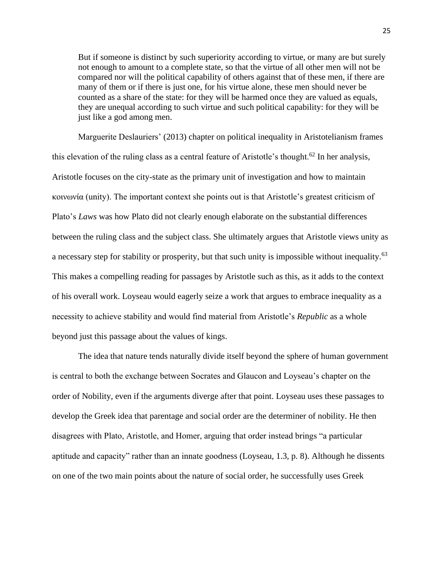But if someone is distinct by such superiority according to virtue, or many are but surely not enough to amount to a complete state, so that the virtue of all other men will not be compared nor will the political capability of others against that of these men, if there are many of them or if there is just one, for his virtue alone, these men should never be counted as a share of the state: for they will be harmed once they are valued as equals, they are unequal according to such virtue and such political capability: for they will be just like a god among men.

Marguerite Deslauriers' (2013) chapter on political inequality in Aristotelianism frames this elevation of the ruling class as a central feature of Aristotle's thought.<sup>62</sup> In her analysis, Aristotle focuses on the city-state as the primary unit of investigation and how to maintain κοινωνία (unity). The important context she points out is that Aristotle's greatest criticism of Plato's *Laws* was how Plato did not clearly enough elaborate on the substantial differences between the ruling class and the subject class. She ultimately argues that Aristotle views unity as a necessary step for stability or prosperity, but that such unity is impossible without inequality.<sup>63</sup> This makes a compelling reading for passages by Aristotle such as this, as it adds to the context of his overall work. Loyseau would eagerly seize a work that argues to embrace inequality as a necessity to achieve stability and would find material from Aristotle's *Republic* as a whole beyond just this passage about the values of kings.

The idea that nature tends naturally divide itself beyond the sphere of human government is central to both the exchange between Socrates and Glaucon and Loyseau's chapter on the order of Nobility, even if the arguments diverge after that point. Loyseau uses these passages to develop the Greek idea that parentage and social order are the determiner of nobility. He then disagrees with Plato, Aristotle, and Homer, arguing that order instead brings "a particular aptitude and capacity" rather than an innate goodness (Loyseau, 1.3, p. 8). Although he dissents on one of the two main points about the nature of social order, he successfully uses Greek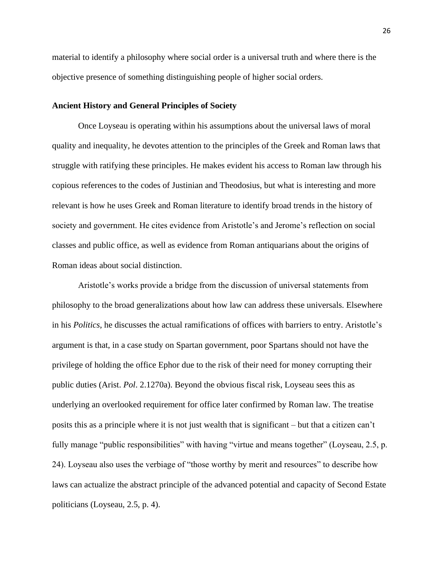material to identify a philosophy where social order is a universal truth and where there is the objective presence of something distinguishing people of higher social orders.

# **Ancient History and General Principles of Society**

Once Loyseau is operating within his assumptions about the universal laws of moral quality and inequality, he devotes attention to the principles of the Greek and Roman laws that struggle with ratifying these principles. He makes evident his access to Roman law through his copious references to the codes of Justinian and Theodosius, but what is interesting and more relevant is how he uses Greek and Roman literature to identify broad trends in the history of society and government. He cites evidence from Aristotle's and Jerome's reflection on social classes and public office, as well as evidence from Roman antiquarians about the origins of Roman ideas about social distinction.

Aristotle's works provide a bridge from the discussion of universal statements from philosophy to the broad generalizations about how law can address these universals. Elsewhere in his *Politics*, he discusses the actual ramifications of offices with barriers to entry. Aristotle's argument is that, in a case study on Spartan government, poor Spartans should not have the privilege of holding the office Ephor due to the risk of their need for money corrupting their public duties (Arist. *Pol*. 2.1270a). Beyond the obvious fiscal risk, Loyseau sees this as underlying an overlooked requirement for office later confirmed by Roman law. The treatise posits this as a principle where it is not just wealth that is significant – but that a citizen can't fully manage "public responsibilities" with having "virtue and means together" (Loyseau, 2.5, p. 24). Loyseau also uses the verbiage of "those worthy by merit and resources" to describe how laws can actualize the abstract principle of the advanced potential and capacity of Second Estate politicians (Loyseau, 2.5, p. 4).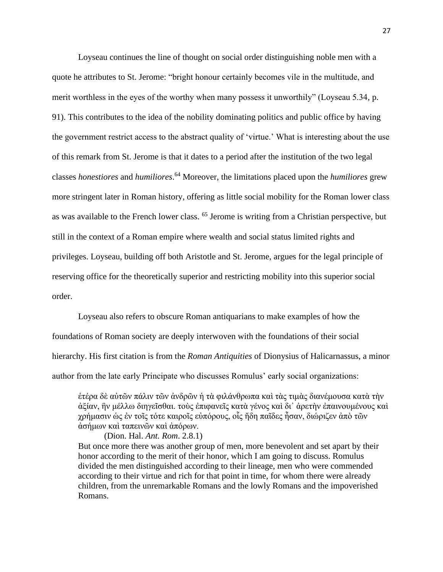Loyseau continues the line of thought on social order distinguishing noble men with a quote he attributes to St. Jerome: "bright honour certainly becomes vile in the multitude, and merit worthless in the eyes of the worthy when many possess it unworthily" (Loyseau 5.34, p. 91). This contributes to the idea of the nobility dominating politics and public office by having the government restrict access to the abstract quality of 'virtue.' What is interesting about the use of this remark from St. Jerome is that it dates to a period after the institution of the two legal classes *honestiores* and *humiliores*. <sup>64</sup> Moreover, the limitations placed upon the *humiliores* grew more stringent later in Roman history, offering as little social mobility for the Roman lower class as was available to the French lower class. <sup>65</sup> Jerome is writing from a Christian perspective, but still in the context of a Roman empire where wealth and social status limited rights and privileges. Loyseau, building off both Aristotle and St. Jerome, argues for the legal principle of reserving office for the theoretically superior and restricting mobility into this superior social order.

Loyseau also refers to obscure Roman antiquarians to make examples of how the foundations of Roman society are deeply interwoven with the foundations of their social hierarchy. His first citation is from the *Roman Antiquities* of Dionysius of Halicarnassus, a minor author from the late early Principate who discusses Romulus' early social organizations:

ἑτέρα δὲ αὐτῶν πάλιν τῶν ἀνδρῶν ἡ τὰ φιλάνθρωπα καὶ τὰς τιμὰς διανέμουσα κατὰ τὴν ἀξίαν, ἣν μέλλω διηγεῖσθαι. τοὺς ἐπιφανεῖς κατὰ γένος καὶ δι᾽ ἀρετὴν ἐπαινουμένους καὶ χρήμασιν ὡς ἐν τοῖς τότε καιροῖς εὐπόρους, οἷς ἤδη παῖδες ἦσαν, διώριζεν ἀπὸ τῶν ἀσήμων καὶ ταπεινῶν καὶ ἀπόρων.

(Dion. Hal. *Ant. Rom*. 2.8.1)

But once more there was another group of men, more benevolent and set apart by their honor according to the merit of their honor, which I am going to discuss. Romulus divided the men distinguished according to their lineage, men who were commended according to their virtue and rich for that point in time, for whom there were already children, from the unremarkable Romans and the lowly Romans and the impoverished Romans.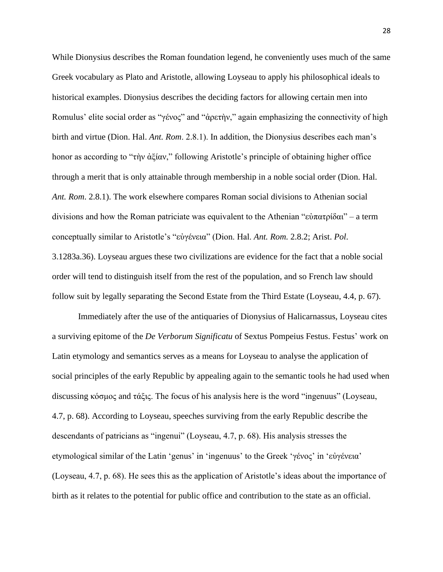While Dionysius describes the Roman foundation legend, he conveniently uses much of the same Greek vocabulary as Plato and Aristotle, allowing Loyseau to apply his philosophical ideals to historical examples. Dionysius describes the deciding factors for allowing certain men into Romulus' elite social order as "γένος" and "ἀρετὴν," again emphasizing the connectivity of high birth and virtue (Dion. Hal. *Ant. Rom*. 2.8.1). In addition, the Dionysius describes each man's honor as according to "τὴν ἀξίαν," following Aristotle's principle of obtaining higher office through a merit that is only attainable through membership in a noble social order (Dion. Hal. *Ant. Rom*. 2.8.1). The work elsewhere compares Roman social divisions to Athenian social divisions and how the Roman patriciate was equivalent to the Athenian "εὐπατρίδαι" – a term conceptually similar to Aristotle's "εὐγένεια" (Dion. Hal. *Ant. Rom.* 2.8.2; Arist. *Pol*. 3.1283a.36). Loyseau argues these two civilizations are evidence for the fact that a noble social order will tend to distinguish itself from the rest of the population, and so French law should follow suit by legally separating the Second Estate from the Third Estate (Loyseau, 4.4, p. 67).

Immediately after the use of the antiquaries of Dionysius of Halicarnassus, Loyseau cites a surviving epitome of the *De Verborum Significatu* of Sextus Pompeius Festus. Festus' work on Latin etymology and semantics serves as a means for Loyseau to analyse the application of social principles of the early Republic by appealing again to the semantic tools he had used when discussing κόσμος and τάξις. The focus of his analysis here is the word "ingenuus" (Loyseau, 4.7, p. 68). According to Loyseau, speeches surviving from the early Republic describe the descendants of patricians as "ingenui" (Loyseau, 4.7, p. 68). His analysis stresses the etymological similar of the Latin 'genus' in 'ingenuus' to the Greek 'γένος' in 'εὐγένεια' (Loyseau, 4.7, p. 68). He sees this as the application of Aristotle's ideas about the importance of birth as it relates to the potential for public office and contribution to the state as an official.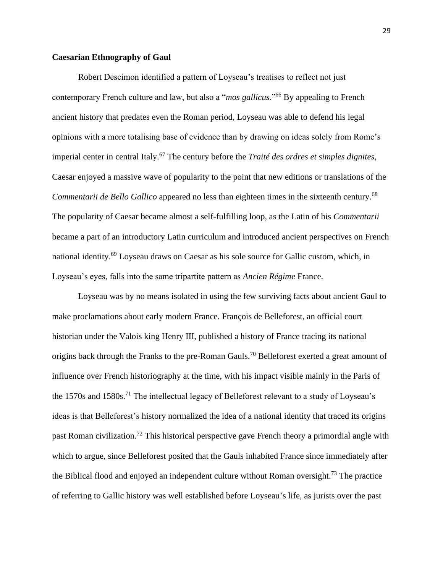# **Caesarian Ethnography of Gaul**

Robert Descimon identified a pattern of Loyseau's treatises to reflect not just contemporary French culture and law, but also a "*mos gallicus*."<sup>66</sup> By appealing to French ancient history that predates even the Roman period, Loyseau was able to defend his legal opinions with a more totalising base of evidence than by drawing on ideas solely from Rome's imperial center in central Italy.<sup>67</sup> The century before the *Traité des ordres et simples dignites*, Caesar enjoyed a massive wave of popularity to the point that new editions or translations of the *Commentarii de Bello Gallico* appeared no less than eighteen times in the sixteenth century.<sup>68</sup> The popularity of Caesar became almost a self-fulfilling loop, as the Latin of his *Commentarii* became a part of an introductory Latin curriculum and introduced ancient perspectives on French national identity.<sup>69</sup> Loyseau draws on Caesar as his sole source for Gallic custom, which, in Loyseau's eyes, falls into the same tripartite pattern as *Ancien Régime* France.

Loyseau was by no means isolated in using the few surviving facts about ancient Gaul to make proclamations about early modern France. François de Belleforest, an official court historian under the Valois king Henry III, published a history of France tracing its national origins back through the Franks to the pre-Roman Gauls.<sup>70</sup> Belleforest exerted a great amount of influence over French historiography at the time, with his impact visible mainly in the Paris of the 1570s and 1580s.<sup>71</sup> The intellectual legacy of Belleforest relevant to a study of Loyseau's ideas is that Belleforest's history normalized the idea of a national identity that traced its origins past Roman civilization.<sup>72</sup> This historical perspective gave French theory a primordial angle with which to argue, since Belleforest posited that the Gauls inhabited France since immediately after the Biblical flood and enjoyed an independent culture without Roman oversight.<sup>73</sup> The practice of referring to Gallic history was well established before Loyseau's life, as jurists over the past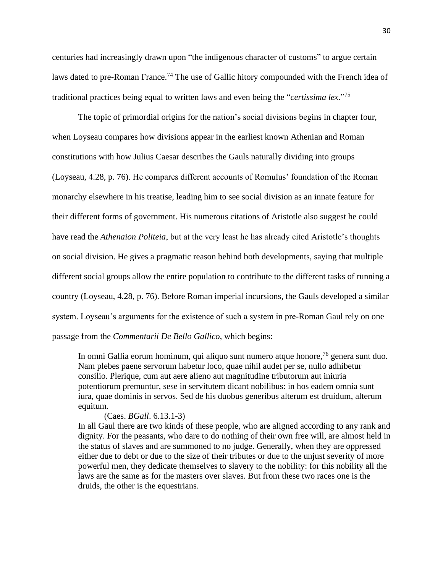centuries had increasingly drawn upon "the indigenous character of customs" to argue certain laws dated to pre-Roman France.<sup>74</sup> The use of Gallic hitory compounded with the French idea of traditional practices being equal to written laws and even being the "*certissima lex*." 75

The topic of primordial origins for the nation's social divisions begins in chapter four, when Loyseau compares how divisions appear in the earliest known Athenian and Roman constitutions with how Julius Caesar describes the Gauls naturally dividing into groups (Loyseau, 4.28, p. 76). He compares different accounts of Romulus' foundation of the Roman monarchy elsewhere in his treatise, leading him to see social division as an innate feature for their different forms of government. His numerous citations of Aristotle also suggest he could have read the *Athenaion Politeia*, but at the very least he has already cited Aristotle's thoughts on social division. He gives a pragmatic reason behind both developments, saying that multiple different social groups allow the entire population to contribute to the different tasks of running a country (Loyseau, 4.28, p. 76). Before Roman imperial incursions, the Gauls developed a similar system. Loyseau's arguments for the existence of such a system in pre-Roman Gaul rely on one passage from the *Commentarii De Bello Gallico*, which begins:

In omni Gallia eorum hominum, qui aliquo sunt numero atque honore,<sup>76</sup> genera sunt duo. Nam plebes paene servorum habetur loco, quae nihil audet per se, nullo adhibetur consilio. Plerique, cum aut aere alieno aut magnitudine tributorum aut iniuria potentiorum premuntur, sese in servitutem dicant nobilibus: in hos eadem omnia sunt iura, quae dominis in servos. Sed de his duobus generibus alterum est druidum, alterum equitum.

#### (Caes. *BGall*. 6.13.1-3)

In all Gaul there are two kinds of these people, who are aligned according to any rank and dignity. For the peasants, who dare to do nothing of their own free will, are almost held in the status of slaves and are summoned to no judge. Generally, when they are oppressed either due to debt or due to the size of their tributes or due to the unjust severity of more powerful men, they dedicate themselves to slavery to the nobility: for this nobility all the laws are the same as for the masters over slaves. But from these two races one is the druids, the other is the equestrians.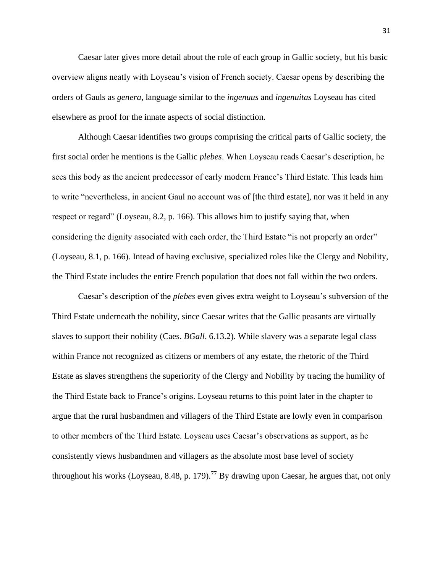Caesar later gives more detail about the role of each group in Gallic society, but his basic overview aligns neatly with Loyseau's vision of French society. Caesar opens by describing the orders of Gauls as *genera*, language similar to the *ingenuus* and *ingenuitas* Loyseau has cited elsewhere as proof for the innate aspects of social distinction.

Although Caesar identifies two groups comprising the critical parts of Gallic society, the first social order he mentions is the Gallic *plebes*. When Loyseau reads Caesar's description, he sees this body as the ancient predecessor of early modern France's Third Estate. This leads him to write "nevertheless, in ancient Gaul no account was of [the third estate], nor was it held in any respect or regard" (Loyseau, 8.2, p. 166). This allows him to justify saying that, when considering the dignity associated with each order, the Third Estate "is not properly an order" (Loyseau, 8.1, p. 166). Intead of having exclusive, specialized roles like the Clergy and Nobility, the Third Estate includes the entire French population that does not fall within the two orders.

Caesar's description of the *plebes* even gives extra weight to Loyseau's subversion of the Third Estate underneath the nobility, since Caesar writes that the Gallic peasants are virtually slaves to support their nobility (Caes. *BGall*. 6.13.2). While slavery was a separate legal class within France not recognized as citizens or members of any estate, the rhetoric of the Third Estate as slaves strengthens the superiority of the Clergy and Nobility by tracing the humility of the Third Estate back to France's origins. Loyseau returns to this point later in the chapter to argue that the rural husbandmen and villagers of the Third Estate are lowly even in comparison to other members of the Third Estate. Loyseau uses Caesar's observations as support, as he consistently views husbandmen and villagers as the absolute most base level of society throughout his works (Loyseau, 8.48, p. 179).<sup>77</sup> By drawing upon Caesar, he argues that, not only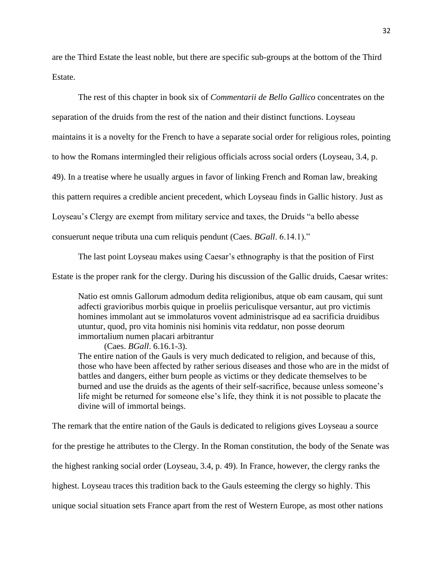are the Third Estate the least noble, but there are specific sub-groups at the bottom of the Third Estate.

The rest of this chapter in book six of *Commentarii de Bello Gallico* concentrates on the separation of the druids from the rest of the nation and their distinct functions. Loyseau maintains it is a novelty for the French to have a separate social order for religious roles, pointing to how the Romans intermingled their religious officials across social orders (Loyseau, 3.4, p. 49). In a treatise where he usually argues in favor of linking French and Roman law, breaking this pattern requires a credible ancient precedent, which Loyseau finds in Gallic history. Just as Loyseau's Clergy are exempt from military service and taxes, the Druids "a bello abesse consuerunt neque tributa una cum reliquis pendunt (Caes. *BGall*. 6.14.1)."

The last point Loyseau makes using Caesar's ethnography is that the position of First

Estate is the proper rank for the clergy. During his discussion of the Gallic druids, Caesar writes:

Natio est omnis Gallorum admodum dedita religionibus, atque ob eam causam, qui sunt adfecti gravioribus morbis quique in proeliis periculisque versantur, aut pro victimis homines immolant aut se immolaturos vovent administrisque ad ea sacrificia druidibus utuntur, quod, pro vita hominis nisi hominis vita reddatur, non posse deorum immortalium numen placari arbitrantur

(Caes. *BGall*. 6.16.1-3). The entire nation of the Gauls is very much dedicated to religion, and because of this, those who have been affected by rather serious diseases and those who are in the midst of battles and dangers, either burn people as victims or they dedicate themselves to be burned and use the druids as the agents of their self-sacrifice, because unless someone's life might be returned for someone else's life, they think it is not possible to placate the divine will of immortal beings.

The remark that the entire nation of the Gauls is dedicated to religions gives Loyseau a source for the prestige he attributes to the Clergy. In the Roman constitution, the body of the Senate was the highest ranking social order (Loyseau, 3.4, p. 49). In France, however, the clergy ranks the highest. Loyseau traces this tradition back to the Gauls esteeming the clergy so highly. This unique social situation sets France apart from the rest of Western Europe, as most other nations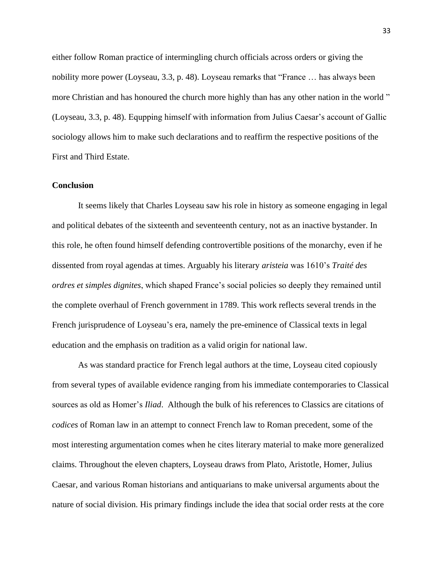either follow Roman practice of intermingling church officials across orders or giving the nobility more power (Loyseau, 3.3, p. 48). Loyseau remarks that "France … has always been more Christian and has honoured the church more highly than has any other nation in the world " (Loyseau, 3.3, p. 48). Equpping himself with information from Julius Caesar's account of Gallic sociology allows him to make such declarations and to reaffirm the respective positions of the First and Third Estate.

# **Conclusion**

It seems likely that Charles Loyseau saw his role in history as someone engaging in legal and political debates of the sixteenth and seventeenth century, not as an inactive bystander. In this role, he often found himself defending controvertible positions of the monarchy, even if he dissented from royal agendas at times. Arguably his literary *aristeia* was 1610's *Traité des ordres et simples dignites*, which shaped France's social policies so deeply they remained until the complete overhaul of French government in 1789. This work reflects several trends in the French jurisprudence of Loyseau's era, namely the pre-eminence of Classical texts in legal education and the emphasis on tradition as a valid origin for national law.

As was standard practice for French legal authors at the time, Loyseau cited copiously from several types of available evidence ranging from his immediate contemporaries to Classical sources as old as Homer's *Iliad*. Although the bulk of his references to Classics are citations of *codices* of Roman law in an attempt to connect French law to Roman precedent, some of the most interesting argumentation comes when he cites literary material to make more generalized claims. Throughout the eleven chapters, Loyseau draws from Plato, Aristotle, Homer, Julius Caesar, and various Roman historians and antiquarians to make universal arguments about the nature of social division. His primary findings include the idea that social order rests at the core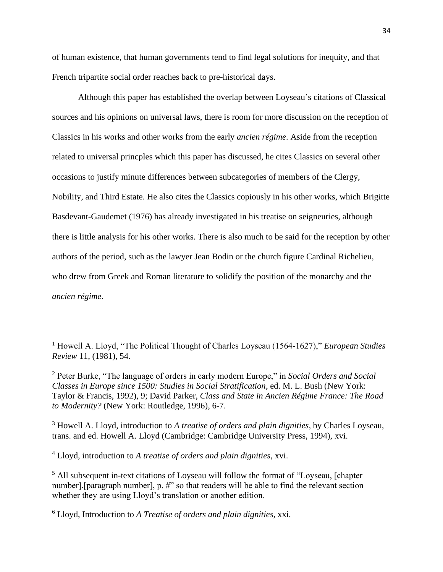of human existence, that human governments tend to find legal solutions for inequity, and that French tripartite social order reaches back to pre-historical days.

Although this paper has established the overlap between Loyseau's citations of Classical sources and his opinions on universal laws, there is room for more discussion on the reception of Classics in his works and other works from the early *ancien régime*. Aside from the reception related to universal princples which this paper has discussed, he cites Classics on several other occasions to justify minute differences between subcategories of members of the Clergy, Nobility, and Third Estate. He also cites the Classics copiously in his other works, which Brigitte Basdevant-Gaudemet (1976) has already investigated in his treatise on seigneuries, although there is little analysis for his other works. There is also much to be said for the reception by other authors of the period, such as the lawyer Jean Bodin or the church figure Cardinal Richelieu, who drew from Greek and Roman literature to solidify the position of the monarchy and the *ancien régime*.

<sup>3</sup> Howell A. Lloyd, introduction to *A treatise of orders and plain dignities*, by Charles Loyseau, trans. and ed. Howell A. Lloyd (Cambridge: Cambridge University Press, 1994), xvi.

<sup>4</sup> Lloyd, introduction to *A treatise of orders and plain dignities*, xvi.

<sup>5</sup> All subsequent in-text citations of Loyseau will follow the format of "Loyseau, [chapter number]. [paragraph number], p. #" so that readers will be able to find the relevant section whether they are using Lloyd's translation or another edition.

<sup>1</sup> Howell A. Lloyd, "The Political Thought of Charles Loyseau (1564-1627)," *European Studies Review* 11, (1981), 54.

<sup>2</sup> Peter Burke, "The language of orders in early modern Europe," in *Social Orders and Social Classes in Europe since 1500: Studies in Social Stratification*, ed. M. L. Bush (New York: Taylor & Francis, 1992), 9; David Parker, *Class and State in Ancien Régime France: The Road to Modernity?* (New York: Routledge, 1996), 6-7.

<sup>6</sup> Lloyd, Introduction to *A Treatise of orders and plain dignities*, xxi.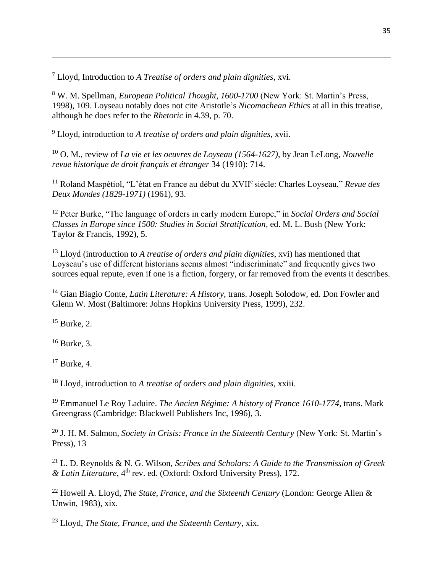<sup>7</sup> Lloyd, Introduction to *A Treatise of orders and plain dignities*, xvi.

<sup>8</sup> W. M. Spellman, *European Political Thought, 1600-1700* (New York: St. Martin's Press, 1998), 109. Loyseau notably does not cite Aristotle's *Nicomachean Ethics* at all in this treatise, although he does refer to the *Rhetoric* in 4.39, p. 70.

<sup>9</sup> Lloyd, introduction to *A treatise of orders and plain dignities*, xvii.

<sup>10</sup> O. M., review of *La vie et les oeuvres de Loyseau (1564-1627)*, by Jean LeLong, *Nouvelle revue historique de droit français et étranger* 34 (1910): 714.

<sup>11</sup> Roland Maspétiol, "L'état en France au début du XVII<sup>e</sup> siécle: Charles Loyseau," *Revue des Deux Mondes (1829-1971)* (1961), 93.

<sup>12</sup> Peter Burke, "The language of orders in early modern Europe," in *Social Orders and Social Classes in Europe since 1500: Studies in Social Stratification*, ed. M. L. Bush (New York: Taylor & Francis, 1992), 5.

<sup>13</sup> Lloyd (introduction to *A treatise of orders and plain dignities*, xvi) has mentioned that Loyseau's use of different historians seems almost "indiscriminate" and frequently gives two sources equal repute, even if one is a fiction, forgery, or far removed from the events it describes.

<sup>14</sup> Gian Biagio Conte, *Latin Literature: A History*, trans. Joseph Solodow, ed. Don Fowler and Glenn W. Most (Baltimore: Johns Hopkins University Press, 1999), 232.

 $15$  Burke, 2.

 $16$  Burke, 3.

<sup>17</sup> Burke, 4.

<sup>18</sup> Lloyd, introduction to *A treatise of orders and plain dignities*, xxiii.

<sup>19</sup> Emmanuel Le Roy Laduire. *The Ancien Régime: A history of France 1610-1774*, trans. Mark Greengrass (Cambridge: Blackwell Publishers Inc, 1996), 3.

<sup>20</sup> J. H. M. Salmon, *Society in Crisis: France in the Sixteenth Century* (New York: St. Martin's Press), 13

<sup>21</sup> L. D. Reynolds & N. G. Wilson, *Scribes and Scholars: A Guide to the Transmission of Greek & Latin Literature*, 4th rev. ed. (Oxford: Oxford University Press), 172.

<sup>22</sup> Howell A. Lloyd, *The State, France, and the Sixteenth Century* (London: George Allen & Unwin, 1983), xix.

<sup>23</sup> Lloyd, *The State, France, and the Sixteenth Century*, xix.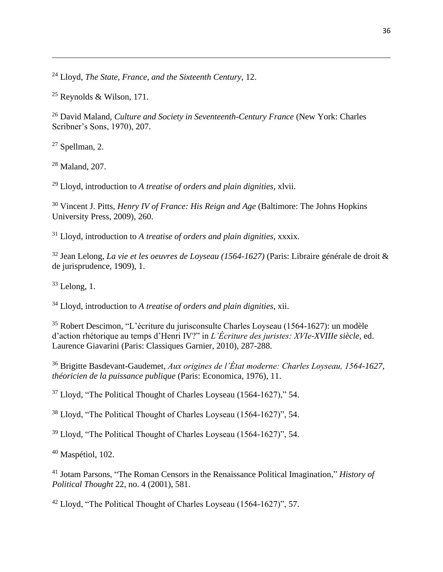Lloyd, *The State, France, and the Sixteenth Century*, 12.

Reynolds & Wilson, 171.

 David Maland, *Culture and Society in Seventeenth-Century France* (New York: Charles Scribner's Sons, 1970), 207.

Spellman, 2.

Maland, 207.

Lloyd, introduction to *A treatise of orders and plain dignities*, xlvii.

 Vincent J. Pitts, *Henry IV of France: His Reign and Age* (Baltimore: The Johns Hopkins University Press, 2009), 260.

Lloyd, introduction to *A treatise of orders and plain dignities*, xxxix.

 Jean Lelong, *La vie et les oeuvres de Loyseau (1564-1627)* (Paris: Libraire générale de droit & de jurisprudence, 1909), 1.

Lelong, 1.

Lloyd, introduction to *A treatise of orders and plain dignities*, xii.

 Robert Descimon, "L'écriture du jurisconsulte Charles Loyseau (1564-1627): un modèle d'action rhétorique au temps d'Henri IV?" in *L'Écriture des juristes: XVIe-XVIIIe siècle*, ed. Laurence Giavarini (Paris: Classiques Garnier, 2010), 287-288.

 Brigitte Basdevant-Gaudemet*, Aux origines de l'État moderne: Charles Loyseau, 1564-1627, théoricien de la puissance publique* (Paris: Economica, 1976), 11.

Lloyd, "The Political Thought of Charles Loyseau (1564-1627)," 54.

Lloyd, "The Political Thought of Charles Loyseau (1564-1627)", 54.

Lloyd, "The Political Thought of Charles Loyseau (1564-1627)", 54.

Maspétiol, 102.

 Jotam Parsons, "The Roman Censors in the Renaissance Political Imagination," *History of Political Thought* 22, no. 4 (2001), 581.

Lloyd, "The Political Thought of Charles Loyseau (1564-1627)", 57.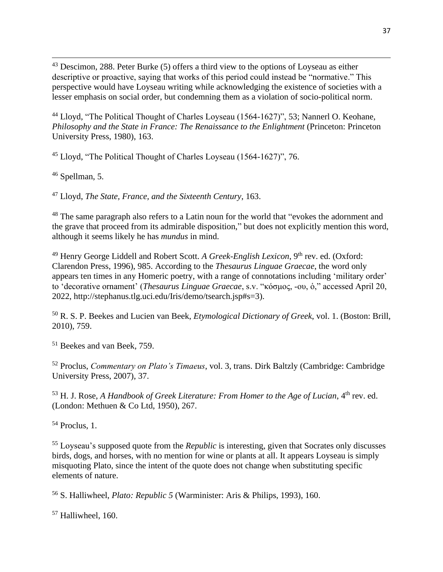<sup>43</sup> Descimon, 288. Peter Burke (5) offers a third view to the options of Loyseau as either descriptive or proactive, saying that works of this period could instead be "normative." This perspective would have Loyseau writing while acknowledging the existence of societies with a lesser emphasis on social order, but condemning them as a violation of socio-political norm.

<sup>44</sup> Lloyd, "The Political Thought of Charles Loyseau (1564-1627)", 53; Nannerl O. Keohane, *Philosophy and the State in France: The Renaissance to the Enlightment* (Princeton: Princeton University Press, 1980), 163.

<sup>45</sup> Lloyd, "The Political Thought of Charles Loyseau (1564-1627)", 76.

<sup>46</sup> Spellman, 5.

<sup>47</sup> Lloyd, *The State, France, and the Sixteenth Century*, 163.

<sup>48</sup> The same paragraph also refers to a Latin noun for the world that "evokes the adornment and the grave that proceed from its admirable disposition," but does not explicitly mention this word, although it seems likely he has *mundus* in mind.

<sup>49</sup> Henry George Liddell and Robert Scott. *A Greek-English Lexicon*, 9<sup>th</sup> rev. ed. (Oxford: Clarendon Press, 1996), 985. According to the *Thesaurus Linguae Graecae*, the word only appears ten times in any Homeric poetry, with a range of connotations including 'military order' to 'decorative ornament' (*Thesaurus Linguae Graecae*, s.v. "κόσμος, ‑ου, ὁ," accessed April 20, 2022, http://stephanus.tlg.uci.edu/Iris/demo/tsearch.jsp#s=3).

<sup>50</sup> R. S. P. Beekes and Lucien van Beek, *Etymological Dictionary of Greek*, vol. 1. (Boston: Brill, 2010), 759.

<sup>51</sup> Beekes and van Beek, 759.

<sup>52</sup> Proclus, *Commentary on Plato's Timaeus*, vol. 3, trans. Dirk Baltzly (Cambridge: Cambridge University Press, 2007), 37.

<sup>53</sup> H. J. Rose, *A Handbook of Greek Literature: From Homer to the Age of Lucian*, 4<sup>th</sup> rev. ed. (London: Methuen & Co Ltd, 1950), 267.

 $54$  Proclus, 1.

<sup>55</sup> Loyseau's supposed quote from the *Republic* is interesting, given that Socrates only discusses birds, dogs, and horses, with no mention for wine or plants at all. It appears Loyseau is simply misquoting Plato, since the intent of the quote does not change when substituting specific elements of nature.

<sup>56</sup> S. Halliwheel, *Plato: Republic 5* (Warminister: Aris & Philips, 1993), 160.

 $57$  Halliwheel, 160.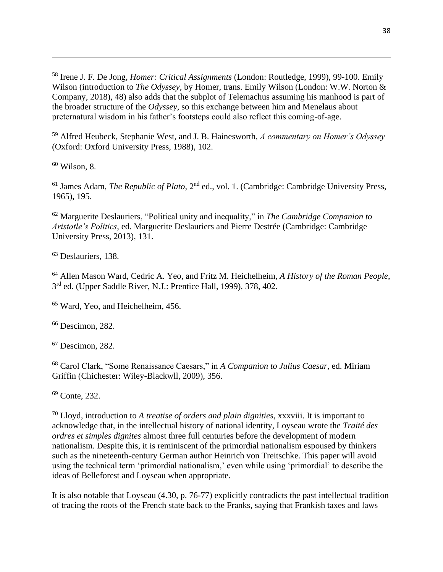<sup>58</sup> Irene J. F. De Jong, *Homer: Critical Assignments* (London: Routledge, 1999), 99-100. Emily Wilson (introduction to *The Odyssey*, by Homer, trans. Emily Wilson (London: W.W. Norton & Company, 2018), 48) also adds that the subplot of Telemachus assuming his manhood is part of the broader structure of the *Odyssey*, so this exchange between him and Menelaus about preternatural wisdom in his father's footsteps could also reflect this coming-of-age.

<sup>59</sup> Alfred Heubeck, Stephanie West, and J. B. Hainesworth, *A commentary on Homer's Odyssey* (Oxford: Oxford University Press, 1988), 102.

 $60$  Wilson, 8.

<sup>61</sup> James Adam, *The Republic of Plato*, 2<sup>nd</sup> ed., vol. 1. (Cambridge: Cambridge University Press, 1965), 195.

<sup>62</sup> Marguerite Deslauriers, "Political unity and inequality," in *The Cambridge Companion to Aristotle's Politics*, ed. Marguerite Deslauriers and Pierre Destrée (Cambridge: Cambridge University Press, 2013), 131.

<sup>63</sup> Deslauriers, 138.

<sup>64</sup> Allen Mason Ward, Cedric A. Yeo, and Fritz M. Heichelheim, *A History of the Roman People*, 3<sup>rd</sup> ed. (Upper Saddle River, N.J.: Prentice Hall, 1999), 378, 402.

<sup>65</sup> Ward, Yeo, and Heichelheim, 456.

 $66$  Descimon, 282.

<sup>67</sup> Descimon, 282.

<sup>68</sup> Carol Clark, "Some Renaissance Caesars," in *A Companion to Julius Caesar*, ed. Miriam Griffin (Chichester: Wiley-Blackwll, 2009), 356.

<sup>69</sup> Conte, 232.

<sup>70</sup> Lloyd, introduction to *A treatise of orders and plain dignities*, xxxviii. It is important to acknowledge that, in the intellectual history of national identity, Loyseau wrote the *Traité des ordres et simples dignites* almost three full centuries before the development of modern nationalism. Despite this, it is reminiscent of the primordial nationalism espoused by thinkers such as the nineteenth-century German author Heinrich von Treitschke. This paper will avoid using the technical term 'primordial nationalism,' even while using 'primordial' to describe the ideas of Belleforest and Loyseau when appropriate.

It is also notable that Loyseau (4.30, p. 76-77) explicitly contradicts the past intellectual tradition of tracing the roots of the French state back to the Franks, saying that Frankish taxes and laws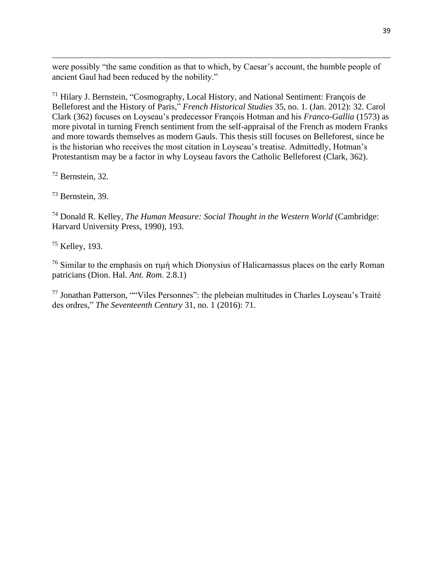were possibly "the same condition as that to which, by Caesar's account, the humble people of ancient Gaul had been reduced by the nobility."

<sup>71</sup> Hilary J. Bernstein, "Cosmography, Local History, and National Sentiment: François de Belleforest and the History of Paris," *French Historical Studies* 35, no. 1. (Jan. 2012): 32. Carol Clark (362) focuses on Loyseau's predecessor François Hotman and his *Franco-Gallia* (1573) as more pivotal in turning French sentiment from the self-appraisal of the French as modern Franks and more towards themselves as modern Gauls. This thesis still focuses on Belleforest, since he is the historian who receives the most citation in Loyseau's treatise. Admittedly, Hotman's Protestantism may be a factor in why Loyseau favors the Catholic Belleforest (Clark, 362).

<sup>72</sup> Bernstein, 32.

<sup>73</sup> Bernstein, 39.

<sup>74</sup> Donald R. Kelley, *The Human Measure: Social Thought in the Western World* (Cambridge: Harvard University Press, 1990), 193.

<sup>75</sup> Kelley, 193.

<sup>76</sup> Similar to the emphasis on τιμή which Dionysius of Halicarnassus places on the early Roman patricians (Dion. Hal. *Ant. Rom*. 2.8.1)

<sup>77</sup> Jonathan Patterson, ""Viles Personnes": the plebeian multitudes in Charles Loyseau's Traité des ordres," *The Seventeenth Century* 31, no. 1 (2016): 71.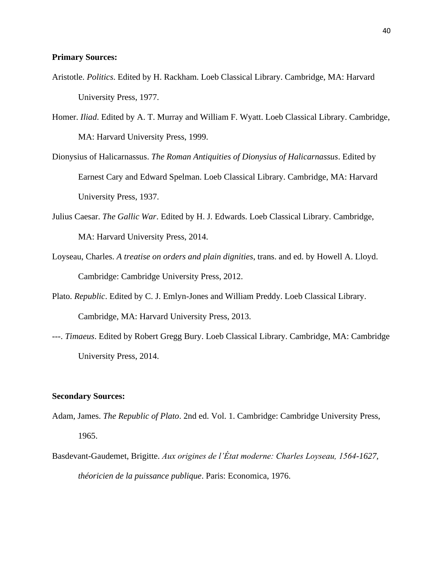# **Primary Sources:**

- Aristotle. *Politics*. Edited by H. Rackham. Loeb Classical Library. Cambridge, MA: Harvard University Press, 1977.
- Homer. *Iliad*. Edited by A. T. Murray and William F. Wyatt. Loeb Classical Library. Cambridge, MA: Harvard University Press, 1999.
- Dionysius of Halicarnassus. *The Roman Antiquities of Dionysius of Halicarnassus*. Edited by Earnest Cary and Edward Spelman. Loeb Classical Library. Cambridge, MA: Harvard University Press, 1937.
- Julius Caesar. *The Gallic War*. Edited by H. J. Edwards. Loeb Classical Library. Cambridge, MA: Harvard University Press, 2014.
- Loyseau, Charles. *A treatise on orders and plain dignities*, trans. and ed. by Howell A. Lloyd. Cambridge: Cambridge University Press, 2012.
- Plato. *Republic*. Edited by C. J. Emlyn-Jones and William Preddy. Loeb Classical Library. Cambridge, MA: Harvard University Press, 2013.
- ---. *Timaeus*. Edited by Robert Gregg Bury. Loeb Classical Library. Cambridge, MA: Cambridge University Press, 2014.

#### **Secondary Sources:**

- Adam, James. *The Republic of Plato*. 2nd ed. Vol. 1. Cambridge: Cambridge University Press, 1965.
- Basdevant-Gaudemet, Brigitte. *Aux origines de l'État moderne: Charles Loyseau, 1564-1627, théoricien de la puissance publique*. Paris: Economica, 1976.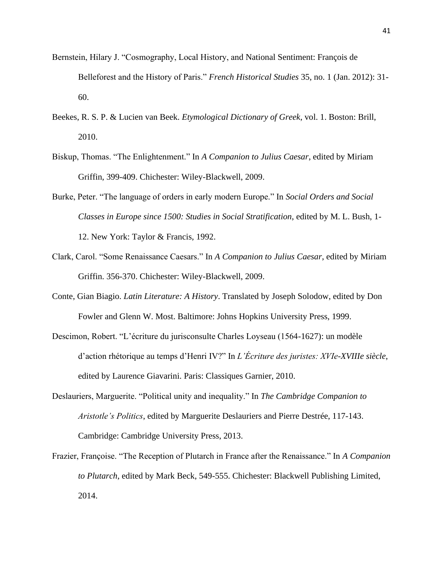- Bernstein, Hilary J. "Cosmography, Local History, and National Sentiment: François de Belleforest and the History of Paris." *French Historical Studies* 35, no. 1 (Jan. 2012): 31- 60.
- Beekes, R. S. P. & Lucien van Beek. *Etymological Dictionary of Greek*, vol. 1. Boston: Brill, 2010.
- Biskup, Thomas. "The Enlightenment." In *A Companion to Julius Caesar*, edited by Miriam Griffin, 399-409. Chichester: Wiley-Blackwell, 2009.
- Burke, Peter. "The language of orders in early modern Europe." In *Social Orders and Social Classes in Europe since 1500: Studies in Social Stratification*, edited by M. L. Bush, 1- 12. New York: Taylor & Francis, 1992.
- Clark, Carol. "Some Renaissance Caesars." In *A Companion to Julius Caesar*, edited by Miriam Griffin. 356-370. Chichester: Wiley-Blackwell, 2009.
- Conte, Gian Biagio. *Latin Literature: A History*. Translated by Joseph Solodow, edited by Don Fowler and Glenn W. Most. Baltimore: Johns Hopkins University Press, 1999.
- Descimon, Robert. "L'écriture du jurisconsulte Charles Loyseau (1564-1627): un modèle d'action rhétorique au temps d'Henri IV?" In *L'Écriture des juristes: XVIe-XVIIIe siècle*, edited by Laurence Giavarini. Paris: Classiques Garnier, 2010.
- Deslauriers, Marguerite. "Political unity and inequality." In *The Cambridge Companion to Aristotle's Politics*, edited by Marguerite Deslauriers and Pierre Destrée, 117-143. Cambridge: Cambridge University Press, 2013.
- Frazier, Françoise. "The Reception of Plutarch in France after the Renaissance." In *A Companion to Plutarch*, edited by Mark Beck, 549-555. Chichester: Blackwell Publishing Limited, 2014.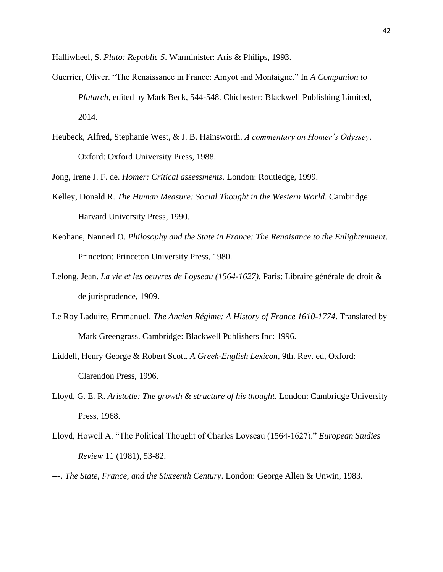Halliwheel, S. *Plato: Republic 5*. Warminister: Aris & Philips, 1993.

- Guerrier, Oliver. "The Renaissance in France: Amyot and Montaigne." In *A Companion to Plutarch*, edited by Mark Beck, 544-548. Chichester: Blackwell Publishing Limited, 2014.
- Heubeck, Alfred, Stephanie West, & J. B. Hainsworth. *A commentary on Homer's Odyssey*. Oxford: Oxford University Press, 1988.

Jong, Irene J. F. de. *Homer: Critical assessments.* London: Routledge, 1999.

- Kelley, Donald R. *The Human Measure: Social Thought in the Western World*. Cambridge: Harvard University Press, 1990.
- Keohane, Nannerl O. *Philosophy and the State in France: The Renaisance to the Enlightenment*. Princeton: Princeton University Press, 1980.
- Lelong, Jean. *La vie et les oeuvres de Loyseau (1564-1627)*. Paris: Libraire générale de droit & de jurisprudence, 1909.
- Le Roy Laduire, Emmanuel. *The Ancien Régime: A History of France 1610-1774*. Translated by Mark Greengrass. Cambridge: Blackwell Publishers Inc: 1996.
- Liddell, Henry George & Robert Scott. *A Greek-English Lexicon*, 9th. Rev. ed, Oxford: Clarendon Press, 1996.
- Lloyd, G. E. R. *Aristotle: The growth & structure of his thought*. London: Cambridge University Press, 1968.
- Lloyd, Howell A. "The Political Thought of Charles Loyseau (1564-1627)." *European Studies Review* 11 (1981), 53-82.
- ---. *The State, France, and the Sixteenth Century*. London: George Allen & Unwin, 1983.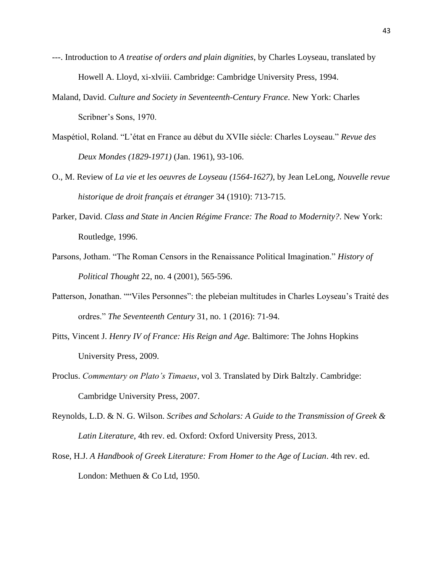- ---. Introduction to *A treatise of orders and plain dignities*, by Charles Loyseau, translated by Howell A. Lloyd, xi-xlviii. Cambridge: Cambridge University Press, 1994.
- Maland, David. *Culture and Society in Seventeenth-Century France*. New York: Charles Scribner's Sons, 1970.
- Maspétiol, Roland. "L'état en France au début du XVIIe siécle: Charles Loyseau." *Revue des Deux Mondes (1829-1971)* (Jan. 1961), 93-106.
- O., M. Review of *La vie et les oeuvres de Loyseau (1564-1627)*, by Jean LeLong, *Nouvelle revue historique de droit français et étranger* 34 (1910): 713-715.
- Parker, David. *Class and State in Ancien Régime France: The Road to Modernity?*. New York: Routledge, 1996.
- Parsons, Jotham. "The Roman Censors in the Renaissance Political Imagination." *History of Political Thought* 22, no. 4 (2001), 565-596.
- Patterson, Jonathan. ""Viles Personnes": the plebeian multitudes in Charles Loyseau's Traité des ordres." *The Seventeenth Century* 31, no. 1 (2016): 71-94.
- Pitts, Vincent J. *Henry IV of France: His Reign and Age*. Baltimore: The Johns Hopkins University Press, 2009.
- Proclus. *Commentary on Plato's Timaeus*, vol 3. Translated by Dirk Baltzly. Cambridge: Cambridge University Press, 2007.
- Reynolds, L.D. & N. G. Wilson. *Scribes and Scholars: A Guide to the Transmission of Greek & Latin Literature*, 4th rev. ed. Oxford: Oxford University Press, 2013.
- Rose, H.J. *A Handbook of Greek Literature: From Homer to the Age of Lucian*. 4th rev. ed. London: Methuen & Co Ltd, 1950.